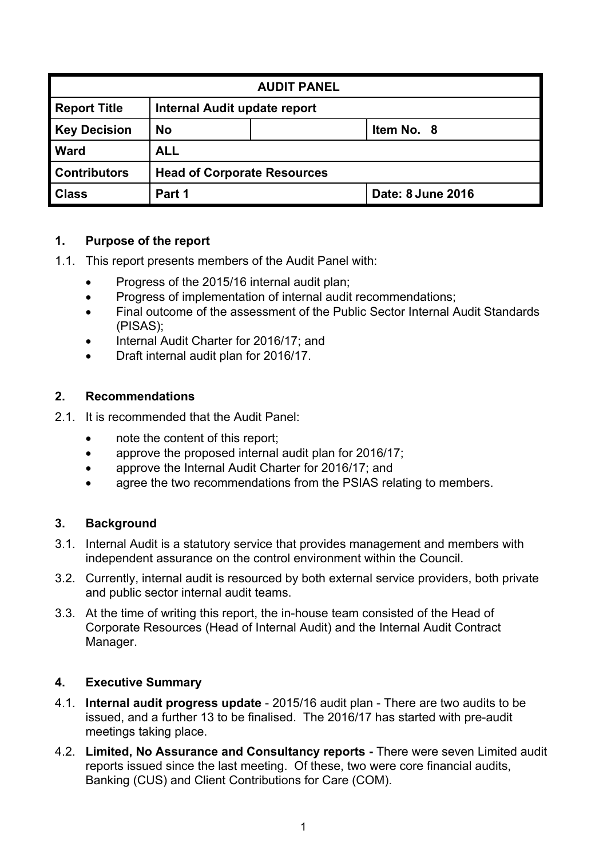| <b>AUDIT PANEL</b>  |                         |                                    |                   |  |  |
|---------------------|-------------------------|------------------------------------|-------------------|--|--|
| <b>Report Title</b> |                         | Internal Audit update report       |                   |  |  |
| <b>Key Decision</b> | <b>No</b><br>Item No. 8 |                                    |                   |  |  |
| <b>Ward</b>         | <b>ALL</b>              |                                    |                   |  |  |
| <b>Contributors</b> |                         | <b>Head of Corporate Resources</b> |                   |  |  |
| <b>Class</b>        | Part 1                  |                                    | Date: 8 June 2016 |  |  |

### **1. Purpose of the report**

- 1.1. This report presents members of the Audit Panel with:
	- Progress of the 2015/16 internal audit plan;
	- Progress of implementation of internal audit recommendations;
	- Final outcome of the assessment of the Public Sector Internal Audit Standards (PISAS);
	- Internal Audit Charter for 2016/17; and
	- Draft internal audit plan for 2016/17.

## **2. Recommendations**

- 2.1. It is recommended that the Audit Panel:
	- note the content of this report;
	- approve the proposed internal audit plan for 2016/17;
	- approve the Internal Audit Charter for 2016/17; and
	- agree the two recommendations from the PSIAS relating to members.

## **3. Background**

- 3.1. Internal Audit is a statutory service that provides management and members with independent assurance on the control environment within the Council.
- 3.2. Currently, internal audit is resourced by both external service providers, both private and public sector internal audit teams.
- 3.3. At the time of writing this report, the in-house team consisted of the Head of Corporate Resources (Head of Internal Audit) and the Internal Audit Contract Manager.

### **4. Executive Summary**

- 4.1. **Internal audit progress update** 2015/16 audit plan There are two audits to be issued, and a further 13 to be finalised. The 2016/17 has started with pre-audit meetings taking place.
- 4.2. **Limited, No Assurance and Consultancy reports -** There were seven Limited audit reports issued since the last meeting. Of these, two were core financial audits, Banking (CUS) and Client Contributions for Care (COM).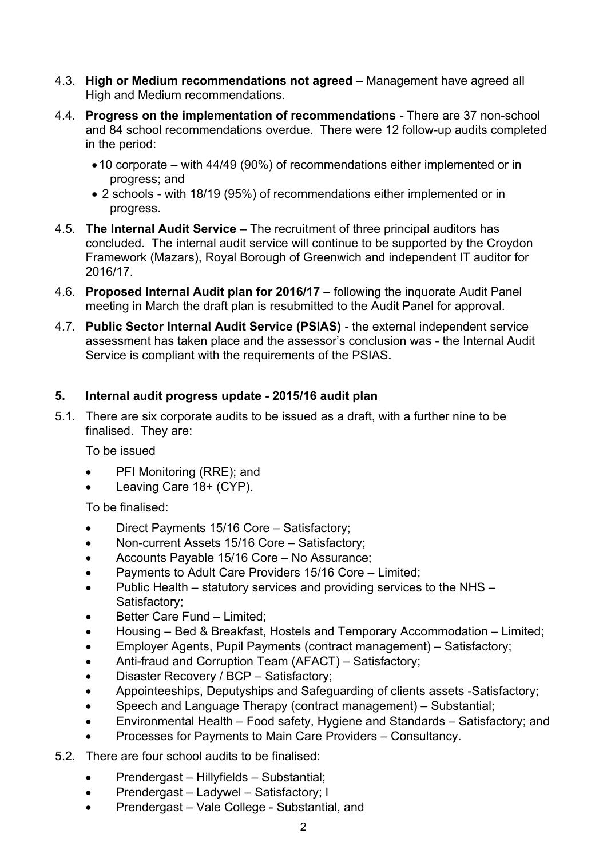- 4.3. **High or Medium recommendations not agreed –** Management have agreed all High and Medium recommendations.
- 4.4. **Progress on the implementation of recommendations -** There are 37 non-school and 84 school recommendations overdue. There were 12 follow-up audits completed in the period:
	- 10 corporate with 44/49 (90%) of recommendations either implemented or in progress; and
	- 2 schools with 18/19 (95%) of recommendations either implemented or in progress.
- 4.5. **The Internal Audit Service –** The recruitment of three principal auditors has concluded. The internal audit service will continue to be supported by the Croydon Framework (Mazars), Royal Borough of Greenwich and independent IT auditor for 2016/17.
- 4.6. **Proposed Internal Audit plan for 2016/17** following the inquorate Audit Panel meeting in March the draft plan is resubmitted to the Audit Panel for approval.
- 4.7. **Public Sector Internal Audit Service (PSIAS) -** the external independent service assessment has taken place and the assessor's conclusion was - the Internal Audit Service is compliant with the requirements of the PSIAS**.**

### **5. Internal audit progress update - 2015/16 audit plan**

5.1. There are six corporate audits to be issued as a draft, with a further nine to be finalised. They are:

To be issued

- PFI Monitoring (RRE); and
- Leaving Care 18+ (CYP).

To be finalised:

- Direct Payments 15/16 Core Satisfactory;
- Non-current Assets 15/16 Core Satisfactory;
- Accounts Payable 15/16 Core No Assurance;
- Payments to Adult Care Providers 15/16 Core Limited;
- Public Health statutory services and providing services to the NHS Satisfactory;
- Better Care Fund Limited;
- Housing Bed & Breakfast, Hostels and Temporary Accommodation Limited;
- Employer Agents, Pupil Payments (contract management) Satisfactory;
- Anti-fraud and Corruption Team (AFACT) Satisfactory;
- Disaster Recovery / BCP Satisfactory;
- Appointeeships, Deputyships and Safeguarding of clients assets -Satisfactory;
- Speech and Language Therapy (contract management) Substantial;
- Environmental Health Food safety, Hygiene and Standards Satisfactory; and
- Processes for Payments to Main Care Providers Consultancy.
- 5.2. There are four school audits to be finalised:
	- Prendergast Hillyfields Substantial;
	- Prendergast Ladywel Satisfactory; l
	- Prendergast Vale College Substantial, and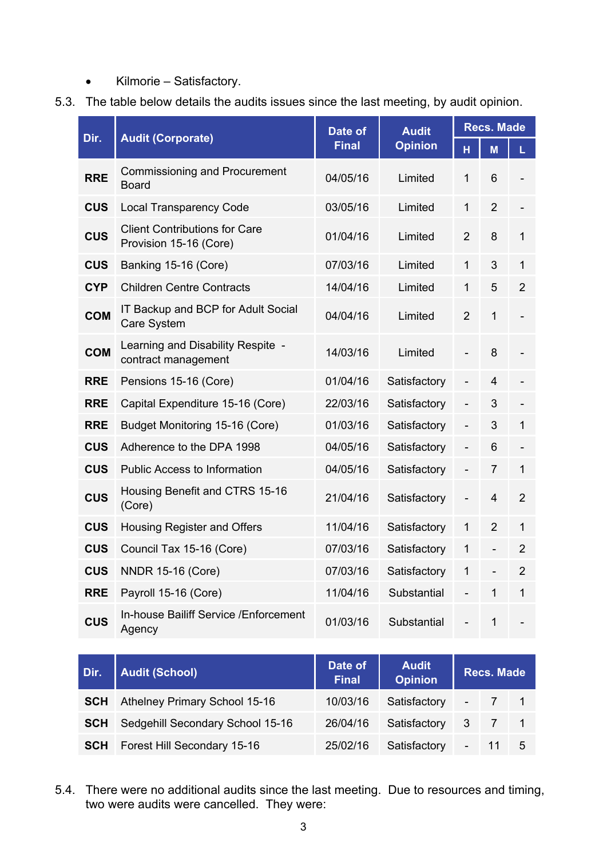- Kilmorie Satisfactory.
- 5.3. The table below details the audits issues since the last meeting, by audit opinion.

| Dir.       | <b>Audit (Corporate)</b>                                       | Date of      | <b>Audit</b>   | <b>Recs. Made</b> |                          |                |
|------------|----------------------------------------------------------------|--------------|----------------|-------------------|--------------------------|----------------|
|            |                                                                | <b>Final</b> | <b>Opinion</b> | H                 | M                        | L              |
| <b>RRE</b> | <b>Commissioning and Procurement</b><br><b>Board</b>           | 04/05/16     | Limited        | 1                 | 6                        |                |
| <b>CUS</b> | <b>Local Transparency Code</b>                                 | 03/05/16     | Limited        | $\mathbf{1}$      | $\overline{2}$           |                |
| <b>CUS</b> | <b>Client Contributions for Care</b><br>Provision 15-16 (Core) | 01/04/16     | Limited        | 2                 | 8                        | $\mathbf{1}$   |
| <b>CUS</b> | Banking 15-16 (Core)                                           | 07/03/16     | Limited        | $\mathbf{1}$      | 3                        | 1              |
| <b>CYP</b> | <b>Children Centre Contracts</b>                               | 14/04/16     | Limited        | $\mathbf{1}$      | 5                        | $\overline{2}$ |
| <b>COM</b> | IT Backup and BCP for Adult Social<br>Care System              | 04/04/16     | Limited        | $\overline{2}$    | 1                        |                |
| <b>COM</b> | Learning and Disability Respite -<br>contract management       | 14/03/16     | Limited        | $\overline{a}$    | 8                        |                |
| <b>RRE</b> | Pensions 15-16 (Core)                                          | 01/04/16     | Satisfactory   | $\overline{a}$    | $\overline{4}$           |                |
| <b>RRE</b> | Capital Expenditure 15-16 (Core)                               | 22/03/16     | Satisfactory   |                   | 3                        |                |
| <b>RRE</b> | Budget Monitoring 15-16 (Core)                                 | 01/03/16     | Satisfactory   |                   | 3                        | 1              |
| <b>CUS</b> | Adherence to the DPA 1998                                      | 04/05/16     | Satisfactory   | -                 | 6                        |                |
| <b>CUS</b> | <b>Public Access to Information</b>                            | 04/05/16     | Satisfactory   | $\overline{a}$    | $\overline{7}$           | 1              |
| <b>CUS</b> | Housing Benefit and CTRS 15-16<br>(Core)                       | 21/04/16     | Satisfactory   |                   | 4                        | $\overline{2}$ |
| <b>CUS</b> | <b>Housing Register and Offers</b>                             | 11/04/16     | Satisfactory   | 1                 | $\overline{2}$           | $\mathbf{1}$   |
| <b>CUS</b> | Council Tax 15-16 (Core)                                       | 07/03/16     | Satisfactory   | 1                 | $\overline{\phantom{0}}$ | 2              |
| <b>CUS</b> | <b>NNDR 15-16 (Core)</b>                                       | 07/03/16     | Satisfactory   | $\mathbf{1}$      | $\overline{a}$           | $\overline{2}$ |
| <b>RRE</b> | Payroll 15-16 (Core)                                           | 11/04/16     | Substantial    |                   | 1                        | 1              |
| <b>CUS</b> | In-house Bailiff Service / Enforcement<br>Agency               | 01/03/16     | Substantial    |                   | 1                        |                |

| Dir.       | <b>Audit (School)</b>              | Date of<br><b>Final</b> | <b>Audit</b><br><b>Opinion</b> | <b>Recs. Made</b> |                     |  |
|------------|------------------------------------|-------------------------|--------------------------------|-------------------|---------------------|--|
| <b>SCH</b> | Athelney Primary School 15-16      | 10/03/16                | Satisfactory                   |                   | $-7$ 1              |  |
| <b>SCH</b> | Sedgehill Secondary School 15-16   | 26/04/16                | Satisfactory                   |                   | $3 \quad 7 \quad 1$ |  |
| <b>SCH</b> | <b>Forest Hill Secondary 15-16</b> | 25/02/16                | Satisfactory                   |                   | $-115$              |  |

5.4. There were no additional audits since the last meeting. Due to resources and timing, two were audits were cancelled. They were: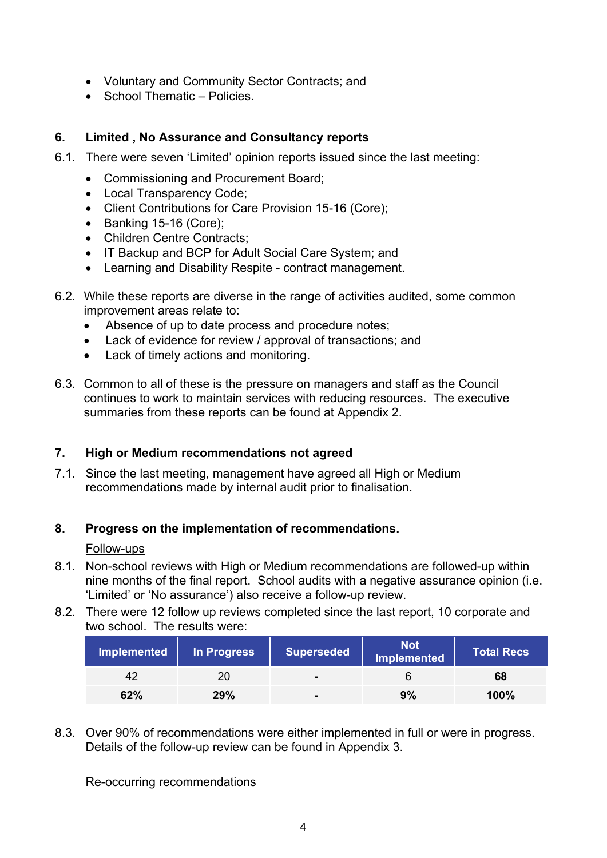- Voluntary and Community Sector Contracts; and
- School Thematic Policies.

## **6. Limited , No Assurance and Consultancy reports**

- 6.1. There were seven 'Limited' opinion reports issued since the last meeting:
	- Commissioning and Procurement Board;
	- Local Transparency Code;
	- Client Contributions for Care Provision 15-16 (Core);
	- Banking 15-16 (Core);
	- Children Centre Contracts;
	- IT Backup and BCP for Adult Social Care System; and
	- Learning and Disability Respite contract management.
- 6.2. While these reports are diverse in the range of activities audited, some common improvement areas relate to:
	- Absence of up to date process and procedure notes;
	- Lack of evidence for review / approval of transactions; and
	- Lack of timely actions and monitoring.
- 6.3. Common to all of these is the pressure on managers and staff as the Council continues to work to maintain services with reducing resources. The executive summaries from these reports can be found at Appendix 2.

## **7. High or Medium recommendations not agreed**

7.1. Since the last meeting, management have agreed all High or Medium recommendations made by internal audit prior to finalisation.

### **8. Progress on the implementation of recommendations.**

### Follow-ups

- 8.1. Non-school reviews with High or Medium recommendations are followed-up within nine months of the final report. School audits with a negative assurance opinion (i.e. 'Limited' or 'No assurance') also receive a follow-up review.
- 8.2. There were 12 follow up reviews completed since the last report, 10 corporate and two school. The results were:

| Implemented | In Progress | Superseded     | <b>Not</b><br>Implemented | <b>Total Recs</b> |
|-------------|-------------|----------------|---------------------------|-------------------|
| 42          | 20          | $\blacksquare$ | h                         | 68                |
| 62%         | 29%         | $\blacksquare$ | 9%                        | 100%              |

8.3. Over 90% of recommendations were either implemented in full or were in progress. Details of the follow-up review can be found in Appendix 3.

Re-occurring recommendations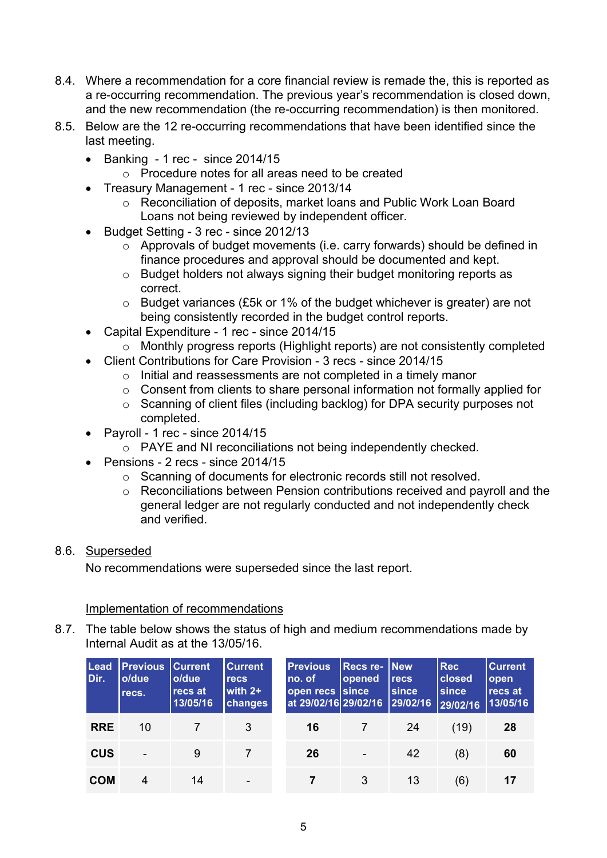- 8.4. Where a recommendation for a core financial review is remade the, this is reported as a re-occurring recommendation. The previous year's recommendation is closed down, and the new recommendation (the re-occurring recommendation) is then monitored.
- 8.5. Below are the 12 re-occurring recommendations that have been identified since the last meeting.
	- $\bullet$  Banking 1 rec since 2014/15
		- o Procedure notes for all areas need to be created
	- Treasury Management 1 rec since 2013/14
		- o Reconciliation of deposits, market loans and Public Work Loan Board Loans not being reviewed by independent officer.
	- Budget Setting 3 rec since 2012/13
		- o Approvals of budget movements (i.e. carry forwards) should be defined in finance procedures and approval should be documented and kept.
		- o Budget holders not always signing their budget monitoring reports as correct.
		- o Budget variances (£5k or 1% of the budget whichever is greater) are not being consistently recorded in the budget control reports.
	- Capital Expenditure 1 rec since 2014/15
		- o Monthly progress reports (Highlight reports) are not consistently completed
	- Client Contributions for Care Provision 3 recs since 2014/15
		- o Initial and reassessments are not completed in a timely manor
		- $\circ$  Consent from clients to share personal information not formally applied for
		- o Scanning of client files (including backlog) for DPA security purposes not completed.
	- $\bullet$  Payroll 1 rec since 2014/15
		- o PAYE and NI reconciliations not being independently checked.
	- $\bullet$  Pensions 2 recs since 2014/15
		- o Scanning of documents for electronic records still not resolved.
		- o Reconciliations between Pension contributions received and payroll and the general ledger are not regularly conducted and not independently check and verified.

### 8.6. Superseded

No recommendations were superseded since the last report.

Implementation of recommendations

8.7. The table below shows the status of high and medium recommendations made by Internal Audit as at the 13/05/16.

| <b>Lead</b><br>Dir. | <b>Previous</b><br>o/due<br>recs. | <b>Current</b><br>o/due<br>recs at<br>13/05/16 | <b>Current</b><br><b>recs</b><br>with $2+$<br><b>changes</b> | <b>Previous</b><br>no. of<br>open recs since<br>at 29/02/16 29/02/16 | <b>Recs re- New</b><br><b>opened</b> | <b>recs</b><br>since<br>29/02/16 | <b>Rec</b><br><b>closed</b><br>since<br>29/02/16 | <b>Current</b><br>open<br>recs at<br>13/05/16 |
|---------------------|-----------------------------------|------------------------------------------------|--------------------------------------------------------------|----------------------------------------------------------------------|--------------------------------------|----------------------------------|--------------------------------------------------|-----------------------------------------------|
| <b>RRE</b>          | 10                                |                                                | 3                                                            | 16                                                                   |                                      | -24                              | (19)                                             | 28                                            |
| <b>CUS</b>          |                                   | 9                                              |                                                              | 26                                                                   | $\overline{\phantom{a}}$             | 42                               | (8)                                              | 60                                            |
| <b>COM</b>          | 4                                 | 14                                             | $\overline{\phantom{a}}$                                     |                                                                      | 3                                    | 13                               | (6)                                              | 17                                            |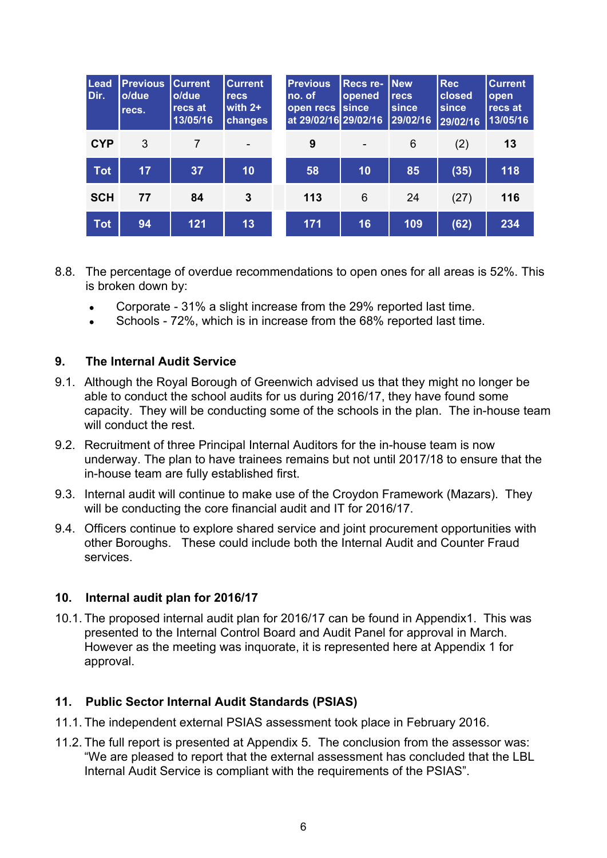| Lead<br>Dir. | <b>Previous</b><br>o/due<br>recs. | <b>Current</b><br>o/due<br>recs at<br>13/05/16 | <b>Current</b><br>recs<br>with $2+$<br>changes | <b>Previous</b><br>no. of<br>open recs<br>at 29/02/16 29/02/16 | Recs re-<br>opened<br>Isince | <b>New</b><br>recs<br>since<br>29/02/16 | <b>Rec</b><br>closed<br>since<br>29/02/16 | <b>Current</b><br>open<br>recs at<br>13/05/16 |
|--------------|-----------------------------------|------------------------------------------------|------------------------------------------------|----------------------------------------------------------------|------------------------------|-----------------------------------------|-------------------------------------------|-----------------------------------------------|
| <b>CYP</b>   | 3                                 | 7                                              |                                                | 9                                                              | $\qquad \qquad -$            | 6                                       | (2)                                       | 13                                            |
| <b>Tot</b>   | 17                                | 37                                             | 10                                             | 58                                                             | 10                           | 85                                      | (35)                                      | 118                                           |
| <b>SCH</b>   | 77                                | 84                                             | 3                                              | 113                                                            | 6                            | 24                                      | (27)                                      | 116                                           |
| <b>Tot</b>   | 94                                | 121                                            | 13                                             | 171                                                            | 16                           | 109                                     | (62)                                      | 234                                           |

- 8.8. The percentage of overdue recommendations to open ones for all areas is 52%. This is broken down by:
	- Corporate 31% a slight increase from the 29% reported last time.
	- Schools 72%, which is in increase from the 68% reported last time.

## **9. The Internal Audit Service**

- 9.1. Although the Royal Borough of Greenwich advised us that they might no longer be able to conduct the school audits for us during 2016/17, they have found some capacity. They will be conducting some of the schools in the plan. The in-house team will conduct the rest.
- 9.2. Recruitment of three Principal Internal Auditors for the in-house team is now underway. The plan to have trainees remains but not until 2017/18 to ensure that the in-house team are fully established first.
- 9.3. Internal audit will continue to make use of the Croydon Framework (Mazars). They will be conducting the core financial audit and IT for 2016/17.
- 9.4. Officers continue to explore shared service and joint procurement opportunities with other Boroughs. These could include both the Internal Audit and Counter Fraud services.

### **10. Internal audit plan for 2016/17**

10.1. The proposed internal audit plan for 2016/17 can be found in Appendix1. This was presented to the Internal Control Board and Audit Panel for approval in March. However as the meeting was inquorate, it is represented here at Appendix 1 for approval.

### **11. Public Sector Internal Audit Standards (PSIAS)**

- 11.1. The independent external PSIAS assessment took place in February 2016.
- 11.2. The full report is presented at Appendix 5. The conclusion from the assessor was: "We are pleased to report that the external assessment has concluded that the LBL Internal Audit Service is compliant with the requirements of the PSIAS".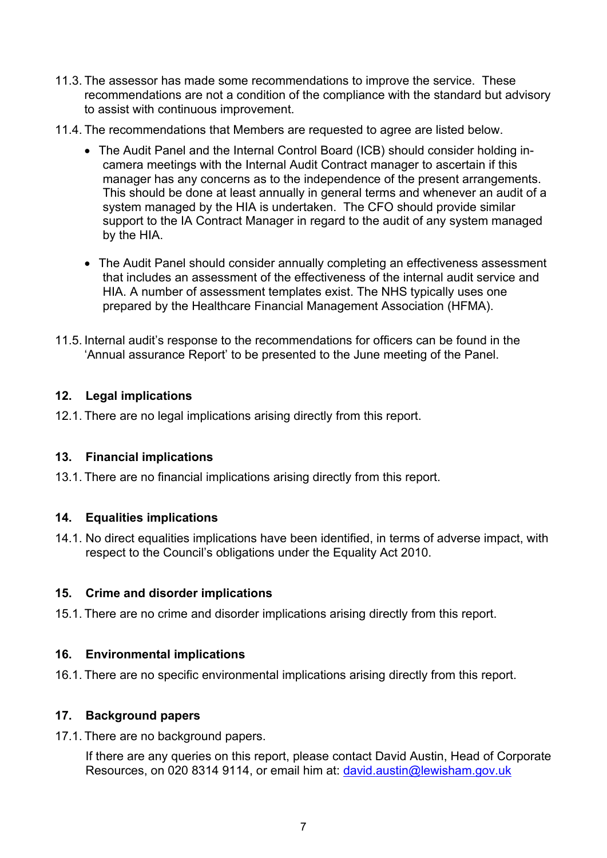- 11.3. The assessor has made some recommendations to improve the service. These recommendations are not a condition of the compliance with the standard but advisory to assist with continuous improvement.
- 11.4. The recommendations that Members are requested to agree are listed below.
	- The Audit Panel and the Internal Control Board (ICB) should consider holding incamera meetings with the Internal Audit Contract manager to ascertain if this manager has any concerns as to the independence of the present arrangements. This should be done at least annually in general terms and whenever an audit of a system managed by the HIA is undertaken. The CFO should provide similar support to the IA Contract Manager in regard to the audit of any system managed by the HIA.
	- The Audit Panel should consider annually completing an effectiveness assessment that includes an assessment of the effectiveness of the internal audit service and HIA. A number of assessment templates exist. The NHS typically uses one prepared by the Healthcare Financial Management Association (HFMA).
- 11.5. Internal audit's response to the recommendations for officers can be found in the 'Annual assurance Report' to be presented to the June meeting of the Panel.

## **12. Legal implications**

12.1. There are no legal implications arising directly from this report.

### **13. Financial implications**

13.1. There are no financial implications arising directly from this report.

### **14. Equalities implications**

14.1. No direct equalities implications have been identified, in terms of adverse impact, with respect to the Council's obligations under the Equality Act 2010.

### **15. Crime and disorder implications**

15.1. There are no crime and disorder implications arising directly from this report.

### **16. Environmental implications**

16.1. There are no specific environmental implications arising directly from this report.

### **17. Background papers**

17.1. There are no background papers.

If there are any queries on this report, please contact David Austin, Head of Corporate Resources, on 020 8314 9114, or email him at: [david.austin@lewisham.gov.uk](mailto:david.austin@lewisham.gov.uk)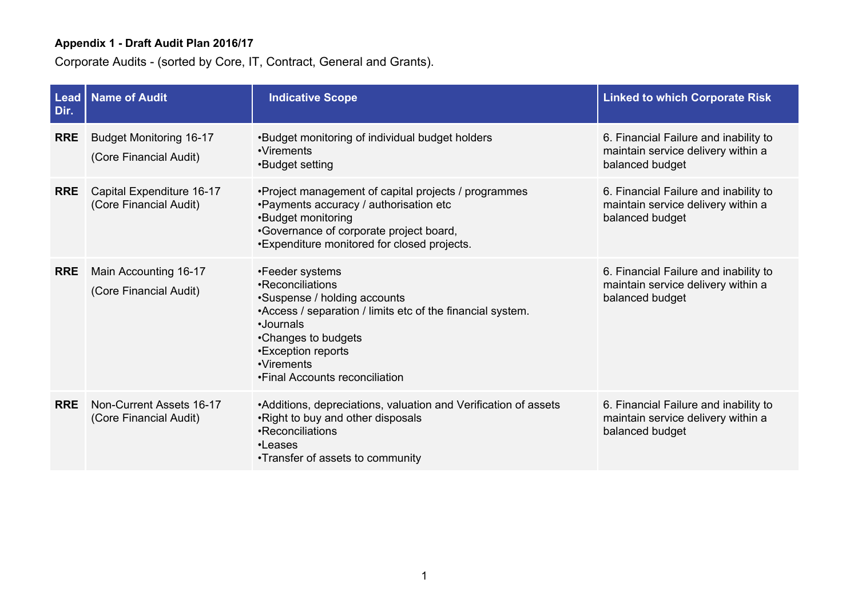Corporate Audits - (sorted by Core, IT, Contract, General and Grants).

| Dir.       | Lead   Name of Audit                                     | <b>Indicative Scope</b>                                                                                                                                                                                                                     | <b>Linked to which Corporate Risk</b>                                                          |
|------------|----------------------------------------------------------|---------------------------------------------------------------------------------------------------------------------------------------------------------------------------------------------------------------------------------------------|------------------------------------------------------------------------------------------------|
| <b>RRE</b> | <b>Budget Monitoring 16-17</b><br>(Core Financial Audit) | .Budget monitoring of individual budget holders<br>•Virements<br>•Budget setting                                                                                                                                                            | 6. Financial Failure and inability to<br>maintain service delivery within a<br>balanced budget |
| <b>RRE</b> | Capital Expenditure 16-17<br>(Core Financial Audit)      | • Project management of capital projects / programmes<br>•Payments accuracy / authorisation etc<br>•Budget monitoring<br>•Governance of corporate project board,<br>•Expenditure monitored for closed projects.                             | 6. Financial Failure and inability to<br>maintain service delivery within a<br>balanced budget |
| <b>RRE</b> | Main Accounting 16-17<br>(Core Financial Audit)          | •Feeder systems<br>•Reconciliations<br>•Suspense / holding accounts<br>•Access / separation / limits etc of the financial system.<br>•Journals<br>•Changes to budgets<br>•Exception reports<br>•Virements<br>•Final Accounts reconciliation | 6. Financial Failure and inability to<br>maintain service delivery within a<br>balanced budget |
| <b>RRE</b> | Non-Current Assets 16-17<br>(Core Financial Audit)       | •Additions, depreciations, valuation and Verification of assets<br>.Right to buy and other disposals<br>•Reconciliations<br>•Leases<br>•Transfer of assets to community                                                                     | 6. Financial Failure and inability to<br>maintain service delivery within a<br>balanced budget |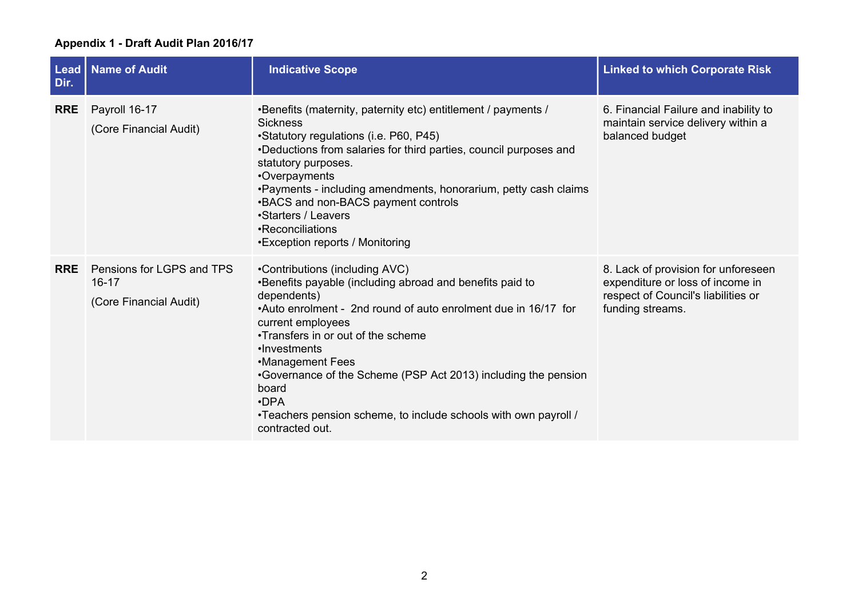| $Leaf$<br>Dir. | <b>Name of Audit</b>                                             | <b>Indicative Scope</b>                                                                                                                                                                                                                                                                                                                                                                                                                                    | <b>Linked to which Corporate Risk</b>                                                                                              |
|----------------|------------------------------------------------------------------|------------------------------------------------------------------------------------------------------------------------------------------------------------------------------------------------------------------------------------------------------------------------------------------------------------------------------------------------------------------------------------------------------------------------------------------------------------|------------------------------------------------------------------------------------------------------------------------------------|
| <b>RRE</b>     | Payroll 16-17<br>(Core Financial Audit)                          | •Benefits (maternity, paternity etc) entitlement / payments /<br><b>Sickness</b><br>•Statutory regulations (i.e. P60, P45)<br>•Deductions from salaries for third parties, council purposes and<br>statutory purposes.<br>•Overpayments<br>. Payments - including amendments, honorarium, petty cash claims<br>•BACS and non-BACS payment controls<br>•Starters / Leavers<br>•Reconciliations<br>•Exception reports / Monitoring                           | 6. Financial Failure and inability to<br>maintain service delivery within a<br>balanced budget                                     |
| <b>RRE</b>     | Pensions for LGPS and TPS<br>$16 - 17$<br>(Core Financial Audit) | •Contributions (including AVC)<br>•Benefits payable (including abroad and benefits paid to<br>dependents)<br>•Auto enrolment - 2nd round of auto enrolment due in 16/17 for<br>current employees<br>•Transfers in or out of the scheme<br>•Investments<br>•Management Fees<br>•Governance of the Scheme (PSP Act 2013) including the pension<br>board<br>$\cdot$ DPA<br>•Teachers pension scheme, to include schools with own payroll /<br>contracted out. | 8. Lack of provision for unforeseen<br>expenditure or loss of income in<br>respect of Council's liabilities or<br>funding streams. |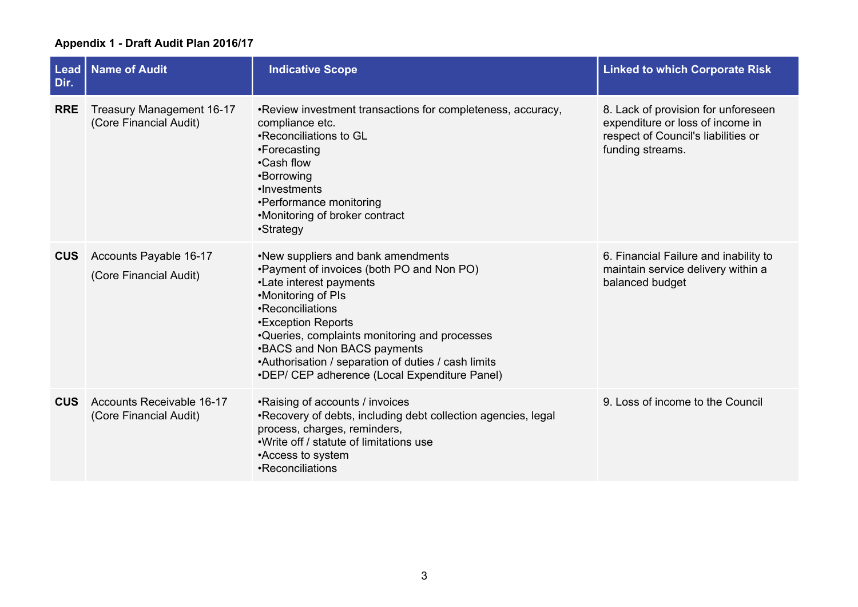| Lead<br>Dir. | <b>Name of Audit</b>                                       | <b>Indicative Scope</b>                                                                                                                                                                                                                                                                                                                                             | <b>Linked to which Corporate Risk</b>                                                                                              |
|--------------|------------------------------------------------------------|---------------------------------------------------------------------------------------------------------------------------------------------------------------------------------------------------------------------------------------------------------------------------------------------------------------------------------------------------------------------|------------------------------------------------------------------------------------------------------------------------------------|
| <b>RRE</b>   | Treasury Management 16-17<br>(Core Financial Audit)        | . Review investment transactions for completeness, accuracy,<br>compliance etc.<br>•Reconciliations to GL<br>•Forecasting<br>•Cash flow<br>•Borrowing<br>•Investments<br>•Performance monitoring<br>•Monitoring of broker contract<br>•Strategy                                                                                                                     | 8. Lack of provision for unforeseen<br>expenditure or loss of income in<br>respect of Council's liabilities or<br>funding streams. |
| <b>CUS</b>   | Accounts Payable 16-17<br>(Core Financial Audit)           | .New suppliers and bank amendments<br>. Payment of invoices (both PO and Non PO)<br>•Late interest payments<br>•Monitoring of PIs<br>•Reconciliations<br>•Exception Reports<br>•Queries, complaints monitoring and processes<br>•BACS and Non BACS payments<br>•Authorisation / separation of duties / cash limits<br>•DEP/ CEP adherence (Local Expenditure Panel) | 6. Financial Failure and inability to<br>maintain service delivery within a<br>balanced budget                                     |
| <b>CUS</b>   | <b>Accounts Receivable 16-17</b><br>(Core Financial Audit) | •Raising of accounts / invoices<br>•Recovery of debts, including debt collection agencies, legal<br>process, charges, reminders,<br>. Write off / statute of limitations use<br>•Access to system<br>•Reconciliations                                                                                                                                               | 9. Loss of income to the Council                                                                                                   |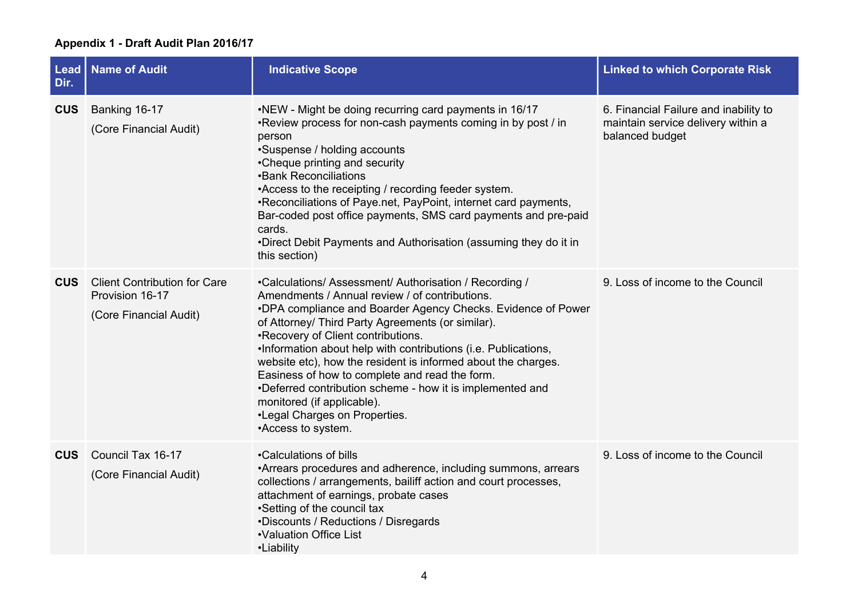| Lead<br>Dir. | <b>Name of Audit</b>                                                             | <b>Indicative Scope</b>                                                                                                                                                                                                                                                                                                                                                                                                                                                                                                                                                                                    | <b>Linked to which Corporate Risk</b>                                                          |
|--------------|----------------------------------------------------------------------------------|------------------------------------------------------------------------------------------------------------------------------------------------------------------------------------------------------------------------------------------------------------------------------------------------------------------------------------------------------------------------------------------------------------------------------------------------------------------------------------------------------------------------------------------------------------------------------------------------------------|------------------------------------------------------------------------------------------------|
| <b>CUS</b>   | Banking 16-17<br>(Core Financial Audit)                                          | •NEW - Might be doing recurring card payments in 16/17<br>•Review process for non-cash payments coming in by post / in<br>person<br>•Suspense / holding accounts<br>•Cheque printing and security<br>•Bank Reconciliations<br>•Access to the receipting / recording feeder system.<br>•Reconciliations of Paye.net, PayPoint, internet card payments,<br>Bar-coded post office payments, SMS card payments and pre-paid<br>cards.<br>.Direct Debit Payments and Authorisation (assuming they do it in<br>this section)                                                                                     | 6. Financial Failure and inability to<br>maintain service delivery within a<br>balanced budget |
| <b>CUS</b>   | <b>Client Contribution for Care</b><br>Provision 16-17<br>(Core Financial Audit) | •Calculations/ Assessment/ Authorisation / Recording /<br>Amendments / Annual review / of contributions.<br>.DPA compliance and Boarder Agency Checks. Evidence of Power<br>of Attorney/ Third Party Agreements (or similar).<br>•Recovery of Client contributions.<br>.Information about help with contributions (i.e. Publications,<br>website etc), how the resident is informed about the charges.<br>Easiness of how to complete and read the form.<br>•Deferred contribution scheme - how it is implemented and<br>monitored (if applicable).<br>•Legal Charges on Properties.<br>•Access to system. | 9. Loss of income to the Council                                                               |
| <b>CUS</b>   | Council Tax 16-17<br>(Core Financial Audit)                                      | •Calculations of bills<br>•Arrears procedures and adherence, including summons, arrears<br>collections / arrangements, bailiff action and court processes,<br>attachment of earnings, probate cases<br>•Setting of the council tax<br>•Discounts / Reductions / Disregards<br>•Valuation Office List<br>•Liability                                                                                                                                                                                                                                                                                         | 9. Loss of income to the Council                                                               |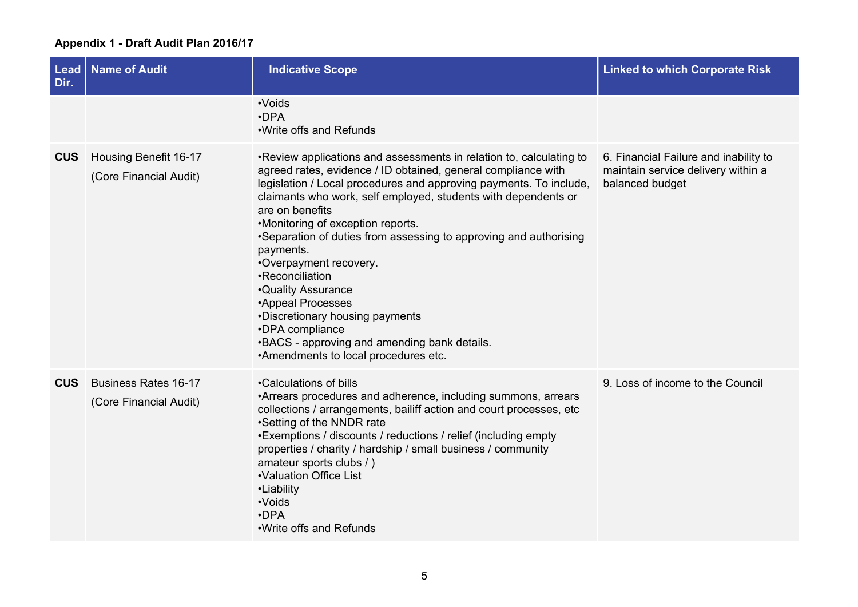| Dir.       | Lead   Name of Audit                                  | <b>Indicative Scope</b>                                                                                                                                                                                                                                                                                                                                                                                                                                                                                                                                                                                                                                              | <b>Linked to which Corporate Risk</b>                                                          |
|------------|-------------------------------------------------------|----------------------------------------------------------------------------------------------------------------------------------------------------------------------------------------------------------------------------------------------------------------------------------------------------------------------------------------------------------------------------------------------------------------------------------------------------------------------------------------------------------------------------------------------------------------------------------------------------------------------------------------------------------------------|------------------------------------------------------------------------------------------------|
|            |                                                       | •Voids<br>$\cdot$ DPA<br>. Write offs and Refunds                                                                                                                                                                                                                                                                                                                                                                                                                                                                                                                                                                                                                    |                                                                                                |
| <b>CUS</b> | Housing Benefit 16-17<br>(Core Financial Audit)       | •Review applications and assessments in relation to, calculating to<br>agreed rates, evidence / ID obtained, general compliance with<br>legislation / Local procedures and approving payments. To include,<br>claimants who work, self employed, students with dependents or<br>are on benefits<br>•Monitoring of exception reports.<br>•Separation of duties from assessing to approving and authorising<br>payments.<br>•Overpayment recovery.<br>•Reconciliation<br><b>.</b> Quality Assurance<br>•Appeal Processes<br>•Discretionary housing payments<br>•DPA compliance<br>.BACS - approving and amending bank details.<br>•Amendments to local procedures etc. | 6. Financial Failure and inability to<br>maintain service delivery within a<br>balanced budget |
| <b>CUS</b> | <b>Business Rates 16-17</b><br>(Core Financial Audit) | •Calculations of bills<br>•Arrears procedures and adherence, including summons, arrears<br>collections / arrangements, bailiff action and court processes, etc<br>•Setting of the NNDR rate<br>•Exemptions / discounts / reductions / relief (including empty<br>properties / charity / hardship / small business / community<br>amateur sports clubs / )<br>•Valuation Office List<br>•Liability<br>•Voids<br>$\cdot$ DPA<br>. Write offs and Refunds                                                                                                                                                                                                               | 9. Loss of income to the Council                                                               |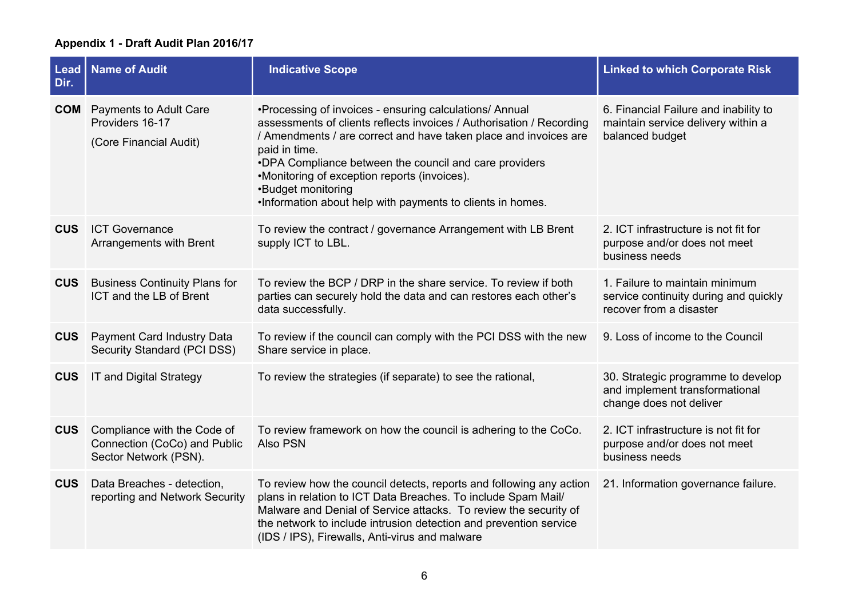| Lead<br>Dir. | <b>Name of Audit</b>                                                                 | <b>Indicative Scope</b>                                                                                                                                                                                                                                                                                                                                                                                             | <b>Linked to which Corporate Risk</b>                                                              |
|--------------|--------------------------------------------------------------------------------------|---------------------------------------------------------------------------------------------------------------------------------------------------------------------------------------------------------------------------------------------------------------------------------------------------------------------------------------------------------------------------------------------------------------------|----------------------------------------------------------------------------------------------------|
|              | <b>COM</b> Payments to Adult Care<br>Providers 16-17<br>(Core Financial Audit)       | •Processing of invoices - ensuring calculations/ Annual<br>assessments of clients reflects invoices / Authorisation / Recording<br>/ Amendments / are correct and have taken place and invoices are<br>paid in time.<br>•DPA Compliance between the council and care providers<br>•Monitoring of exception reports (invoices).<br>•Budget monitoring<br>. Information about help with payments to clients in homes. | 6. Financial Failure and inability to<br>maintain service delivery within a<br>balanced budget     |
| <b>CUS</b>   | <b>ICT Governance</b><br>Arrangements with Brent                                     | To review the contract / governance Arrangement with LB Brent<br>supply ICT to LBL.                                                                                                                                                                                                                                                                                                                                 | 2. ICT infrastructure is not fit for<br>purpose and/or does not meet<br>business needs             |
| <b>CUS</b>   | <b>Business Continuity Plans for</b><br>ICT and the LB of Brent                      | To review the BCP / DRP in the share service. To review if both<br>parties can securely hold the data and can restores each other's<br>data successfully.                                                                                                                                                                                                                                                           | 1. Failure to maintain minimum<br>service continuity during and quickly<br>recover from a disaster |
| <b>CUS</b>   | Payment Card Industry Data<br>Security Standard (PCI DSS)                            | To review if the council can comply with the PCI DSS with the new<br>Share service in place.                                                                                                                                                                                                                                                                                                                        | 9. Loss of income to the Council                                                                   |
| <b>CUS</b>   | IT and Digital Strategy                                                              | To review the strategies (if separate) to see the rational,                                                                                                                                                                                                                                                                                                                                                         | 30. Strategic programme to develop<br>and implement transformational<br>change does not deliver    |
| <b>CUS</b>   | Compliance with the Code of<br>Connection (CoCo) and Public<br>Sector Network (PSN). | To review framework on how the council is adhering to the CoCo.<br>Also PSN                                                                                                                                                                                                                                                                                                                                         | 2. ICT infrastructure is not fit for<br>purpose and/or does not meet<br>business needs             |
| <b>CUS</b>   | Data Breaches - detection,<br>reporting and Network Security                         | To review how the council detects, reports and following any action<br>plans in relation to ICT Data Breaches. To include Spam Mail/<br>Malware and Denial of Service attacks. To review the security of<br>the network to include intrusion detection and prevention service<br>(IDS / IPS), Firewalls, Anti-virus and malware                                                                                     | 21. Information governance failure.                                                                |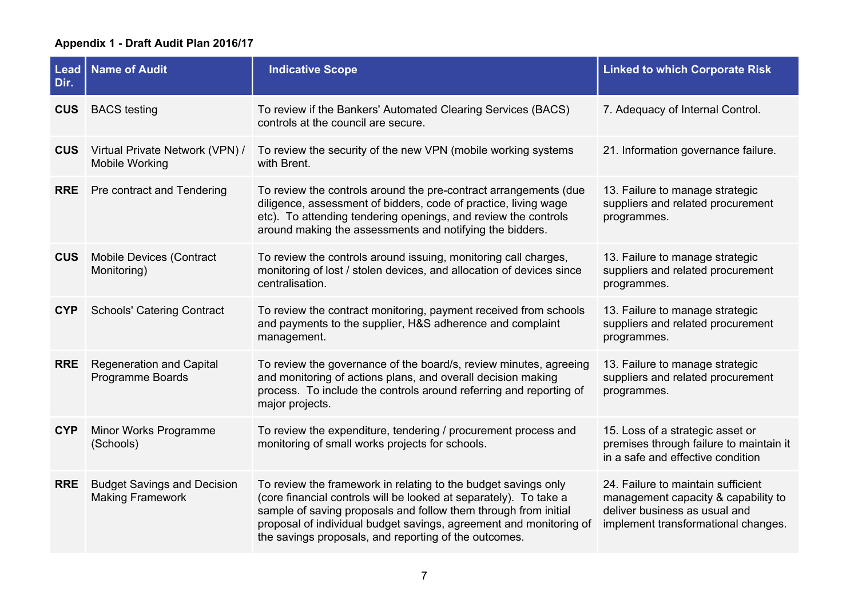| Dir.       | <b>Lead   Name of Audit</b>                                   | <b>Indicative Scope</b>                                                                                                                                                                                                                                                                                                               | <b>Linked to which Corporate Risk</b>                                                                                                             |
|------------|---------------------------------------------------------------|---------------------------------------------------------------------------------------------------------------------------------------------------------------------------------------------------------------------------------------------------------------------------------------------------------------------------------------|---------------------------------------------------------------------------------------------------------------------------------------------------|
| <b>CUS</b> | <b>BACS</b> testing                                           | To review if the Bankers' Automated Clearing Services (BACS)<br>controls at the council are secure.                                                                                                                                                                                                                                   | 7. Adequacy of Internal Control.                                                                                                                  |
| <b>CUS</b> | Virtual Private Network (VPN) /<br><b>Mobile Working</b>      | To review the security of the new VPN (mobile working systems<br>with Brent.                                                                                                                                                                                                                                                          | 21. Information governance failure.                                                                                                               |
| <b>RRE</b> | Pre contract and Tendering                                    | To review the controls around the pre-contract arrangements (due<br>diligence, assessment of bidders, code of practice, living wage<br>etc). To attending tendering openings, and review the controls<br>around making the assessments and notifying the bidders.                                                                     | 13. Failure to manage strategic<br>suppliers and related procurement<br>programmes.                                                               |
| <b>CUS</b> | <b>Mobile Devices (Contract</b><br>Monitoring)                | To review the controls around issuing, monitoring call charges,<br>monitoring of lost / stolen devices, and allocation of devices since<br>centralisation.                                                                                                                                                                            | 13. Failure to manage strategic<br>suppliers and related procurement<br>programmes.                                                               |
| <b>CYP</b> | <b>Schools' Catering Contract</b>                             | To review the contract monitoring, payment received from schools<br>and payments to the supplier, H&S adherence and complaint<br>management.                                                                                                                                                                                          | 13. Failure to manage strategic<br>suppliers and related procurement<br>programmes.                                                               |
| <b>RRE</b> | <b>Regeneration and Capital</b><br>Programme Boards           | To review the governance of the board/s, review minutes, agreeing<br>and monitoring of actions plans, and overall decision making<br>process. To include the controls around referring and reporting of<br>major projects.                                                                                                            | 13. Failure to manage strategic<br>suppliers and related procurement<br>programmes.                                                               |
| <b>CYP</b> | Minor Works Programme<br>(Schools)                            | To review the expenditure, tendering / procurement process and<br>monitoring of small works projects for schools.                                                                                                                                                                                                                     | 15. Loss of a strategic asset or<br>premises through failure to maintain it<br>in a safe and effective condition                                  |
| <b>RRE</b> | <b>Budget Savings and Decision</b><br><b>Making Framework</b> | To review the framework in relating to the budget savings only<br>(core financial controls will be looked at separately). To take a<br>sample of saving proposals and follow them through from initial<br>proposal of individual budget savings, agreement and monitoring of<br>the savings proposals, and reporting of the outcomes. | 24. Failure to maintain sufficient<br>management capacity & capability to<br>deliver business as usual and<br>implement transformational changes. |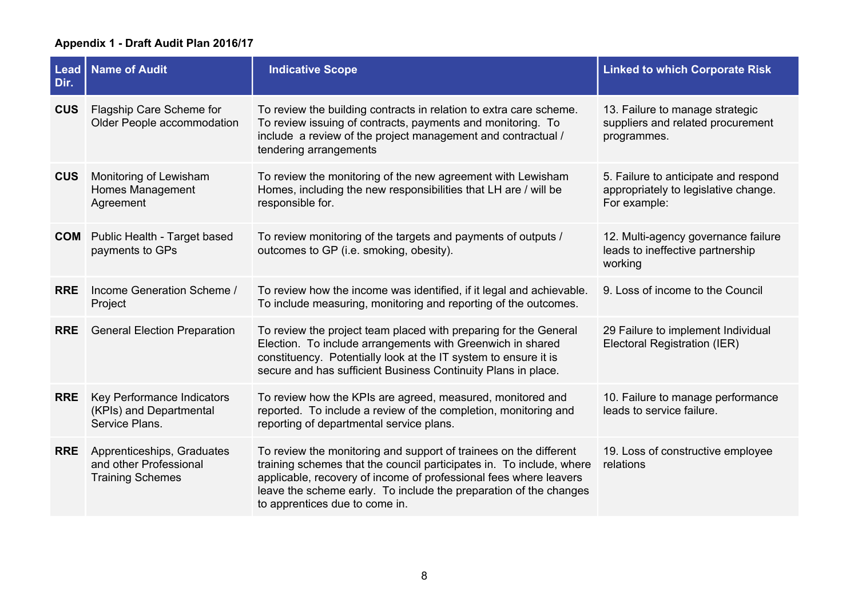| <b>Lead</b><br>Dir. | Name of Audit                                                                   | <b>Indicative Scope</b>                                                                                                                                                                                                                                                                                               | <b>Linked to which Corporate Risk</b>                                                        |
|---------------------|---------------------------------------------------------------------------------|-----------------------------------------------------------------------------------------------------------------------------------------------------------------------------------------------------------------------------------------------------------------------------------------------------------------------|----------------------------------------------------------------------------------------------|
| <b>CUS</b>          | Flagship Care Scheme for<br>Older People accommodation                          | To review the building contracts in relation to extra care scheme.<br>To review issuing of contracts, payments and monitoring. To<br>include a review of the project management and contractual /<br>tendering arrangements                                                                                           | 13. Failure to manage strategic<br>suppliers and related procurement<br>programmes.          |
| <b>CUS</b>          | Monitoring of Lewisham<br>Homes Management<br>Agreement                         | To review the monitoring of the new agreement with Lewisham<br>Homes, including the new responsibilities that LH are / will be<br>responsible for.                                                                                                                                                                    | 5. Failure to anticipate and respond<br>appropriately to legislative change.<br>For example: |
| <b>COM</b>          | Public Health - Target based<br>payments to GPs                                 | To review monitoring of the targets and payments of outputs /<br>outcomes to GP (i.e. smoking, obesity).                                                                                                                                                                                                              | 12. Multi-agency governance failure<br>leads to ineffective partnership<br>working           |
| <b>RRE</b>          | Income Generation Scheme /<br>Project                                           | To review how the income was identified, if it legal and achievable.<br>To include measuring, monitoring and reporting of the outcomes.                                                                                                                                                                               | 9. Loss of income to the Council                                                             |
| <b>RRE</b>          | <b>General Election Preparation</b>                                             | To review the project team placed with preparing for the General<br>Election. To include arrangements with Greenwich in shared<br>constituency. Potentially look at the IT system to ensure it is<br>secure and has sufficient Business Continuity Plans in place.                                                    | 29 Failure to implement Individual<br>Electoral Registration (IER)                           |
| <b>RRE</b>          | Key Performance Indicators<br>(KPIs) and Departmental<br>Service Plans.         | To review how the KPIs are agreed, measured, monitored and<br>reported. To include a review of the completion, monitoring and<br>reporting of departmental service plans.                                                                                                                                             | 10. Failure to manage performance<br>leads to service failure.                               |
| <b>RRE</b>          | Apprenticeships, Graduates<br>and other Professional<br><b>Training Schemes</b> | To review the monitoring and support of trainees on the different<br>training schemes that the council participates in. To include, where<br>applicable, recovery of income of professional fees where leavers<br>leave the scheme early. To include the preparation of the changes<br>to apprentices due to come in. | 19. Loss of constructive employee<br>relations                                               |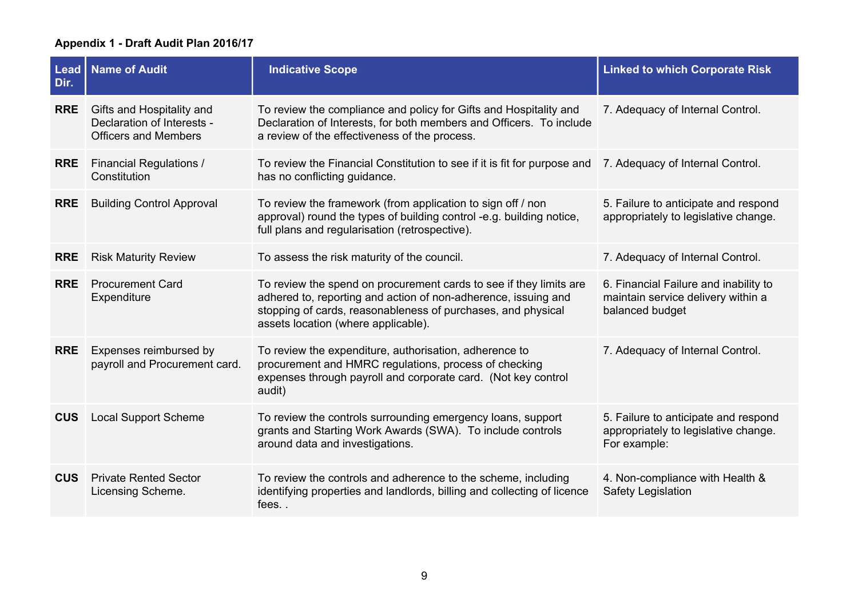| <b>Lead</b><br>Dir. | <b>Name of Audit</b>                                                                   | <b>Indicative Scope</b>                                                                                                                                                                                                                     | <b>Linked to which Corporate Risk</b>                                                          |
|---------------------|----------------------------------------------------------------------------------------|---------------------------------------------------------------------------------------------------------------------------------------------------------------------------------------------------------------------------------------------|------------------------------------------------------------------------------------------------|
| <b>RRE</b>          | Gifts and Hospitality and<br>Declaration of Interests -<br><b>Officers and Members</b> | To review the compliance and policy for Gifts and Hospitality and<br>Declaration of Interests, for both members and Officers. To include<br>a review of the effectiveness of the process.                                                   | 7. Adequacy of Internal Control.                                                               |
| <b>RRE</b>          | <b>Financial Regulations /</b><br>Constitution                                         | To review the Financial Constitution to see if it is fit for purpose and<br>has no conflicting guidance.                                                                                                                                    | 7. Adequacy of Internal Control.                                                               |
| <b>RRE</b>          | <b>Building Control Approval</b>                                                       | To review the framework (from application to sign off / non<br>approval) round the types of building control -e.g. building notice,<br>full plans and regularisation (retrospective).                                                       | 5. Failure to anticipate and respond<br>appropriately to legislative change.                   |
| <b>RRE</b>          | <b>Risk Maturity Review</b>                                                            | To assess the risk maturity of the council.                                                                                                                                                                                                 | 7. Adequacy of Internal Control.                                                               |
| <b>RRE</b>          | <b>Procurement Card</b><br>Expenditure                                                 | To review the spend on procurement cards to see if they limits are<br>adhered to, reporting and action of non-adherence, issuing and<br>stopping of cards, reasonableness of purchases, and physical<br>assets location (where applicable). | 6. Financial Failure and inability to<br>maintain service delivery within a<br>balanced budget |
| <b>RRE</b>          | Expenses reimbursed by<br>payroll and Procurement card.                                | To review the expenditure, authorisation, adherence to<br>procurement and HMRC regulations, process of checking<br>expenses through payroll and corporate card. (Not key control<br>audit)                                                  | 7. Adequacy of Internal Control.                                                               |
| <b>CUS</b>          | <b>Local Support Scheme</b>                                                            | To review the controls surrounding emergency loans, support<br>grants and Starting Work Awards (SWA). To include controls<br>around data and investigations.                                                                                | 5. Failure to anticipate and respond<br>appropriately to legislative change.<br>For example:   |
| <b>CUS</b>          | <b>Private Rented Sector</b><br>Licensing Scheme.                                      | To review the controls and adherence to the scheme, including<br>identifying properties and landlords, billing and collecting of licence<br>fees                                                                                            | 4. Non-compliance with Health &<br><b>Safety Legislation</b>                                   |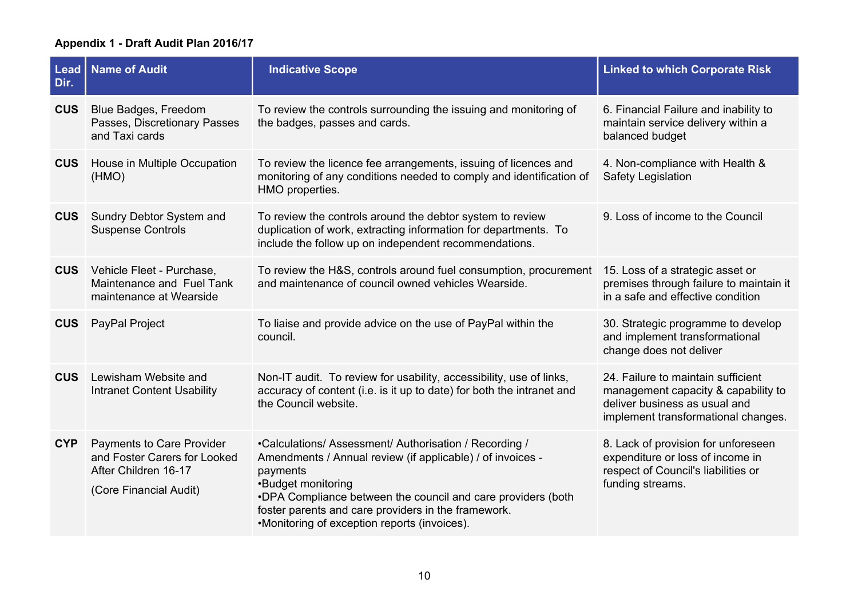| Dir.       | Lead   Name of Audit                                                                                        | <b>Indicative Scope</b>                                                                                                                                                                                                                                                                                                       | <b>Linked to which Corporate Risk</b>                                                                                                             |
|------------|-------------------------------------------------------------------------------------------------------------|-------------------------------------------------------------------------------------------------------------------------------------------------------------------------------------------------------------------------------------------------------------------------------------------------------------------------------|---------------------------------------------------------------------------------------------------------------------------------------------------|
| <b>CUS</b> | Blue Badges, Freedom<br>Passes, Discretionary Passes<br>and Taxi cards                                      | To review the controls surrounding the issuing and monitoring of<br>the badges, passes and cards.                                                                                                                                                                                                                             | 6. Financial Failure and inability to<br>maintain service delivery within a<br>balanced budget                                                    |
| <b>CUS</b> | House in Multiple Occupation<br>(HMO)                                                                       | To review the licence fee arrangements, issuing of licences and<br>monitoring of any conditions needed to comply and identification of<br>HMO properties.                                                                                                                                                                     | 4. Non-compliance with Health &<br>Safety Legislation                                                                                             |
| <b>CUS</b> | Sundry Debtor System and<br><b>Suspense Controls</b>                                                        | To review the controls around the debtor system to review<br>duplication of work, extracting information for departments. To<br>include the follow up on independent recommendations.                                                                                                                                         | 9. Loss of income to the Council                                                                                                                  |
| <b>CUS</b> | Vehicle Fleet - Purchase,<br>Maintenance and Fuel Tank<br>maintenance at Wearside                           | To review the H&S, controls around fuel consumption, procurement<br>and maintenance of council owned vehicles Wearside.                                                                                                                                                                                                       | 15. Loss of a strategic asset or<br>premises through failure to maintain it<br>in a safe and effective condition                                  |
| <b>CUS</b> | PayPal Project                                                                                              | To liaise and provide advice on the use of PayPal within the<br>council.                                                                                                                                                                                                                                                      | 30. Strategic programme to develop<br>and implement transformational<br>change does not deliver                                                   |
| <b>CUS</b> | Lewisham Website and<br><b>Intranet Content Usability</b>                                                   | Non-IT audit. To review for usability, accessibility, use of links,<br>accuracy of content (i.e. is it up to date) for both the intranet and<br>the Council website.                                                                                                                                                          | 24. Failure to maintain sufficient<br>management capacity & capability to<br>deliver business as usual and<br>implement transformational changes. |
| <b>CYP</b> | Payments to Care Provider<br>and Foster Carers for Looked<br>After Children 16-17<br>(Core Financial Audit) | •Calculations/ Assessment/ Authorisation / Recording /<br>Amendments / Annual review (if applicable) / of invoices -<br>payments<br>•Budget monitoring<br>.DPA Compliance between the council and care providers (both<br>foster parents and care providers in the framework.<br>•Monitoring of exception reports (invoices). | 8. Lack of provision for unforeseen<br>expenditure or loss of income in<br>respect of Council's liabilities or<br>funding streams.                |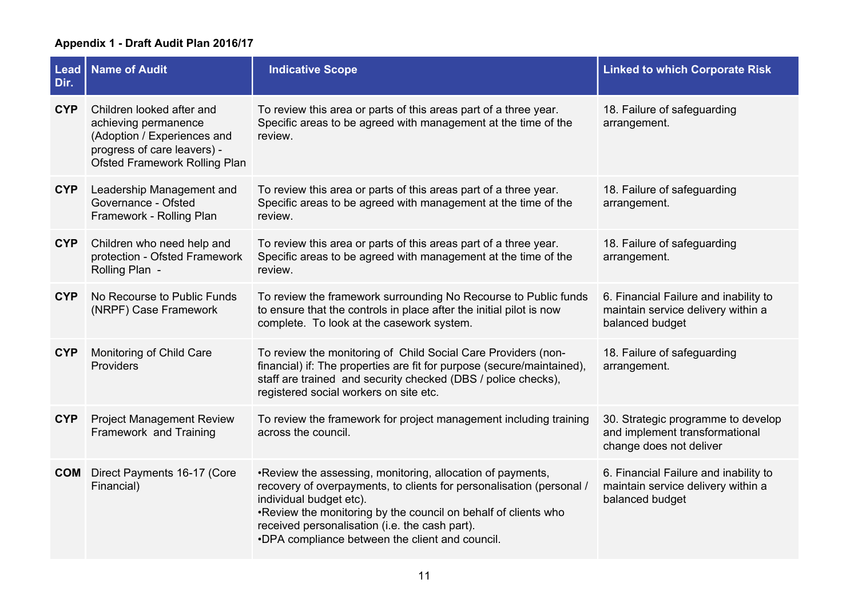| <b>Lead</b><br>Dir. | <b>Name of Audit</b>                                                                                                                                    | <b>Indicative Scope</b>                                                                                                                                                                                                                                                                                                                | <b>Linked to which Corporate Risk</b>                                                           |
|---------------------|---------------------------------------------------------------------------------------------------------------------------------------------------------|----------------------------------------------------------------------------------------------------------------------------------------------------------------------------------------------------------------------------------------------------------------------------------------------------------------------------------------|-------------------------------------------------------------------------------------------------|
| <b>CYP</b>          | Children looked after and<br>achieving permanence<br>(Adoption / Experiences and<br>progress of care leavers) -<br><b>Ofsted Framework Rolling Plan</b> | To review this area or parts of this areas part of a three year.<br>Specific areas to be agreed with management at the time of the<br>review.                                                                                                                                                                                          | 18. Failure of safeguarding<br>arrangement.                                                     |
| <b>CYP</b>          | Leadership Management and<br>Governance - Ofsted<br>Framework - Rolling Plan                                                                            | To review this area or parts of this areas part of a three year.<br>Specific areas to be agreed with management at the time of the<br>review.                                                                                                                                                                                          | 18. Failure of safeguarding<br>arrangement.                                                     |
| <b>CYP</b>          | Children who need help and<br>protection - Ofsted Framework<br>Rolling Plan -                                                                           | To review this area or parts of this areas part of a three year.<br>Specific areas to be agreed with management at the time of the<br>review.                                                                                                                                                                                          | 18. Failure of safeguarding<br>arrangement.                                                     |
| <b>CYP</b>          | No Recourse to Public Funds<br>(NRPF) Case Framework                                                                                                    | To review the framework surrounding No Recourse to Public funds<br>to ensure that the controls in place after the initial pilot is now<br>complete. To look at the casework system.                                                                                                                                                    | 6. Financial Failure and inability to<br>maintain service delivery within a<br>balanced budget  |
| <b>CYP</b>          | Monitoring of Child Care<br>Providers                                                                                                                   | To review the monitoring of Child Social Care Providers (non-<br>financial) if: The properties are fit for purpose (secure/maintained),<br>staff are trained and security checked (DBS / police checks),<br>registered social workers on site etc.                                                                                     | 18. Failure of safeguarding<br>arrangement.                                                     |
| <b>CYP</b>          | <b>Project Management Review</b><br>Framework and Training                                                                                              | To review the framework for project management including training<br>across the council.                                                                                                                                                                                                                                               | 30. Strategic programme to develop<br>and implement transformational<br>change does not deliver |
| <b>COM</b>          | Direct Payments 16-17 (Core<br>Financial)                                                                                                               | . Review the assessing, monitoring, allocation of payments,<br>recovery of overpayments, to clients for personalisation (personal /<br>individual budget etc).<br>. Review the monitoring by the council on behalf of clients who<br>received personalisation (i.e. the cash part).<br>.DPA compliance between the client and council. | 6. Financial Failure and inability to<br>maintain service delivery within a<br>balanced budget  |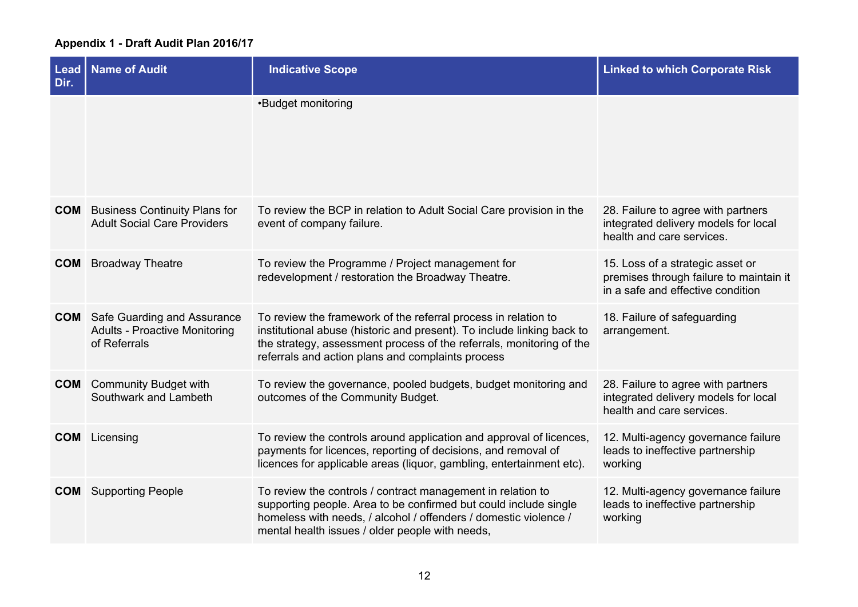| <b>Lead</b><br>Dir. | <b>Name of Audit</b>                                                                           | <b>Indicative Scope</b>                                                                                                                                                                                                                                               | <b>Linked to which Corporate Risk</b>                                                                            |
|---------------------|------------------------------------------------------------------------------------------------|-----------------------------------------------------------------------------------------------------------------------------------------------------------------------------------------------------------------------------------------------------------------------|------------------------------------------------------------------------------------------------------------------|
|                     |                                                                                                | •Budget monitoring                                                                                                                                                                                                                                                    |                                                                                                                  |
| <b>COM</b>          | <b>Business Continuity Plans for</b><br><b>Adult Social Care Providers</b>                     | To review the BCP in relation to Adult Social Care provision in the<br>event of company failure.                                                                                                                                                                      | 28. Failure to agree with partners<br>integrated delivery models for local<br>health and care services.          |
| <b>COM</b>          | <b>Broadway Theatre</b>                                                                        | To review the Programme / Project management for<br>redevelopment / restoration the Broadway Theatre.                                                                                                                                                                 | 15. Loss of a strategic asset or<br>premises through failure to maintain it<br>in a safe and effective condition |
|                     | <b>COM</b> Safe Guarding and Assurance<br><b>Adults - Proactive Monitoring</b><br>of Referrals | To review the framework of the referral process in relation to<br>institutional abuse (historic and present). To include linking back to<br>the strategy, assessment process of the referrals, monitoring of the<br>referrals and action plans and complaints process | 18. Failure of safeguarding<br>arrangement.                                                                      |
|                     | <b>COM</b> Community Budget with<br>Southwark and Lambeth                                      | To review the governance, pooled budgets, budget monitoring and<br>outcomes of the Community Budget.                                                                                                                                                                  | 28. Failure to agree with partners<br>integrated delivery models for local<br>health and care services.          |
|                     | <b>COM</b> Licensing                                                                           | To review the controls around application and approval of licences,<br>payments for licences, reporting of decisions, and removal of<br>licences for applicable areas (liquor, gambling, entertainment etc).                                                          | 12. Multi-agency governance failure<br>leads to ineffective partnership<br>working                               |
|                     | <b>COM</b> Supporting People                                                                   | To review the controls / contract management in relation to<br>supporting people. Area to be confirmed but could include single<br>homeless with needs, / alcohol / offenders / domestic violence /<br>mental health issues / older people with needs,                | 12. Multi-agency governance failure<br>leads to ineffective partnership<br>working                               |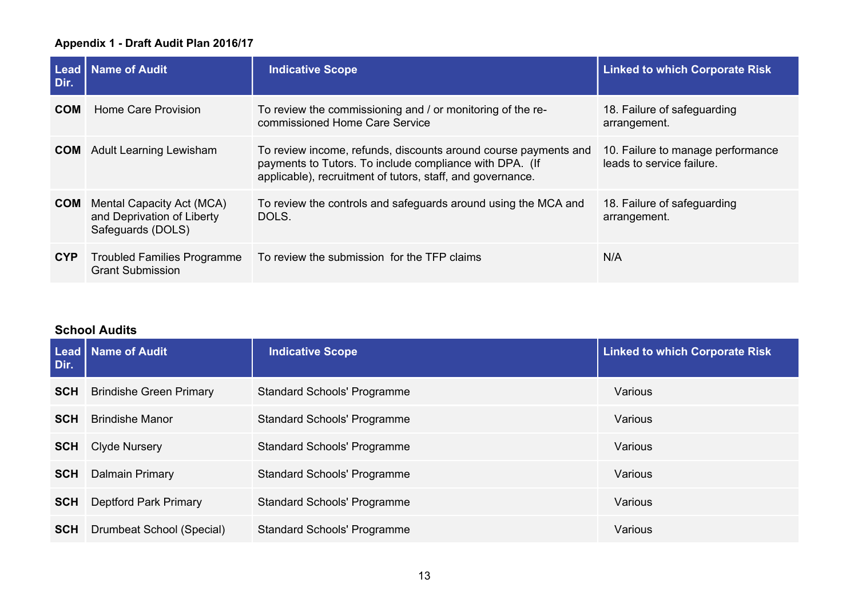| Dir.       | Lead   Name of Audit                                                         | <b>Indicative Scope</b>                                                                                                                                                                  | <b>Linked to which Corporate Risk</b>                          |
|------------|------------------------------------------------------------------------------|------------------------------------------------------------------------------------------------------------------------------------------------------------------------------------------|----------------------------------------------------------------|
| <b>COM</b> | Home Care Provision                                                          | To review the commissioning and / or monitoring of the re-<br>commissioned Home Care Service                                                                                             | 18. Failure of safeguarding<br>arrangement.                    |
|            | <b>COM</b> Adult Learning Lewisham                                           | To review income, refunds, discounts around course payments and<br>payments to Tutors. To include compliance with DPA. (If<br>applicable), recruitment of tutors, staff, and governance. | 10. Failure to manage performance<br>leads to service failure. |
| <b>COM</b> | Mental Capacity Act (MCA)<br>and Deprivation of Liberty<br>Safeguards (DOLS) | To review the controls and safeguards around using the MCA and<br>DOLS.                                                                                                                  | 18. Failure of safeguarding<br>arrangement.                    |
| <b>CYP</b> | <b>Troubled Families Programme</b><br><b>Grant Submission</b>                | To review the submission for the TFP claims                                                                                                                                              | N/A                                                            |

## **School Audits**

| Dir.       | Lead   Name of Audit           | <b>Indicative Scope</b>            | <b>Linked to which Corporate Risk</b> |
|------------|--------------------------------|------------------------------------|---------------------------------------|
| <b>SCH</b> | <b>Brindishe Green Primary</b> | <b>Standard Schools' Programme</b> | Various                               |
| <b>SCH</b> | <b>Brindishe Manor</b>         | <b>Standard Schools' Programme</b> | Various                               |
| <b>SCH</b> | <b>Clyde Nursery</b>           | <b>Standard Schools' Programme</b> | Various                               |
| <b>SCH</b> | Dalmain Primary                | <b>Standard Schools' Programme</b> | Various                               |
| <b>SCH</b> | <b>Deptford Park Primary</b>   | <b>Standard Schools' Programme</b> | Various                               |
| <b>SCH</b> | Drumbeat School (Special)      | <b>Standard Schools' Programme</b> | Various                               |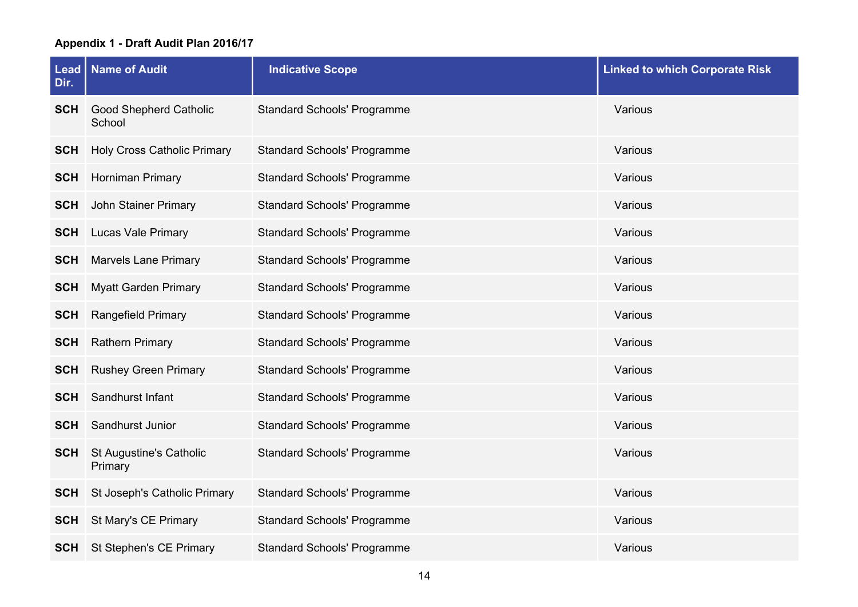| Dir.       | Lead   Name of Audit                    | <b>Indicative Scope</b>            | <b>Linked to which Corporate Risk</b> |
|------------|-----------------------------------------|------------------------------------|---------------------------------------|
| <b>SCH</b> | <b>Good Shepherd Catholic</b><br>School | <b>Standard Schools' Programme</b> | Various                               |
| <b>SCH</b> | <b>Holy Cross Catholic Primary</b>      | <b>Standard Schools' Programme</b> | Various                               |
| <b>SCH</b> | Horniman Primary                        | <b>Standard Schools' Programme</b> | Various                               |
| <b>SCH</b> | John Stainer Primary                    | <b>Standard Schools' Programme</b> | Various                               |
| <b>SCH</b> | <b>Lucas Vale Primary</b>               | <b>Standard Schools' Programme</b> | Various                               |
| <b>SCH</b> | <b>Marvels Lane Primary</b>             | <b>Standard Schools' Programme</b> | Various                               |
| <b>SCH</b> | <b>Myatt Garden Primary</b>             | <b>Standard Schools' Programme</b> | Various                               |
| <b>SCH</b> | <b>Rangefield Primary</b>               | <b>Standard Schools' Programme</b> | Various                               |
| <b>SCH</b> | <b>Rathern Primary</b>                  | <b>Standard Schools' Programme</b> | Various                               |
| <b>SCH</b> | <b>Rushey Green Primary</b>             | <b>Standard Schools' Programme</b> | Various                               |
| <b>SCH</b> | Sandhurst Infant                        | <b>Standard Schools' Programme</b> | Various                               |
| <b>SCH</b> | Sandhurst Junior                        | <b>Standard Schools' Programme</b> | Various                               |
| <b>SCH</b> | St Augustine's Catholic<br>Primary      | <b>Standard Schools' Programme</b> | Various                               |
| <b>SCH</b> | St Joseph's Catholic Primary            | <b>Standard Schools' Programme</b> | Various                               |
| <b>SCH</b> | St Mary's CE Primary                    | <b>Standard Schools' Programme</b> | Various                               |
| <b>SCH</b> | St Stephen's CE Primary                 | <b>Standard Schools' Programme</b> | Various                               |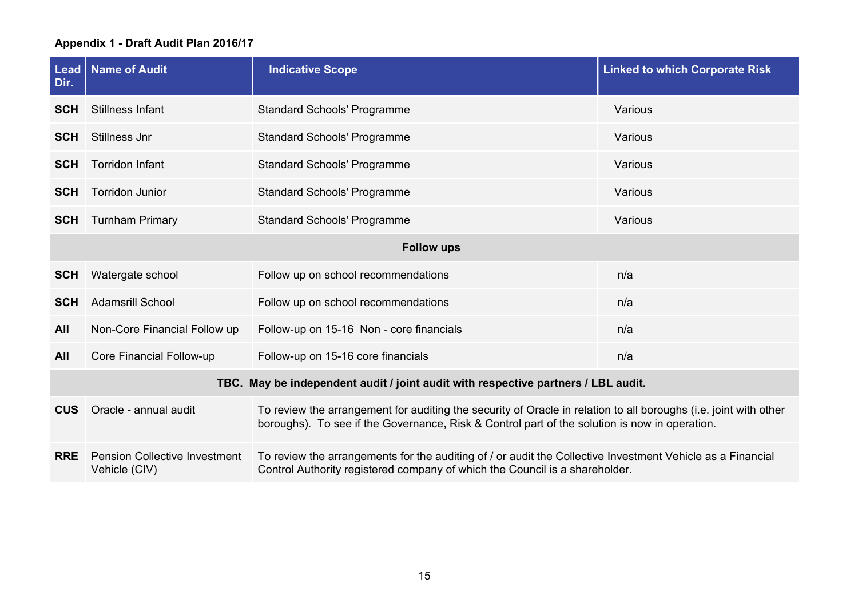| Dir.       | <b>Lead   Name of Audit</b>                           | <b>Indicative Scope</b>                                                                                                                                                                                           | <b>Linked to which Corporate Risk</b> |
|------------|-------------------------------------------------------|-------------------------------------------------------------------------------------------------------------------------------------------------------------------------------------------------------------------|---------------------------------------|
| <b>SCH</b> | <b>Stillness Infant</b>                               | <b>Standard Schools' Programme</b>                                                                                                                                                                                | Various                               |
| <b>SCH</b> | Stillness Jnr                                         | <b>Standard Schools' Programme</b>                                                                                                                                                                                | Various                               |
| <b>SCH</b> | <b>Torridon Infant</b>                                | <b>Standard Schools' Programme</b>                                                                                                                                                                                | Various                               |
| <b>SCH</b> | <b>Torridon Junior</b>                                | <b>Standard Schools' Programme</b>                                                                                                                                                                                | Various                               |
| <b>SCH</b> | <b>Turnham Primary</b>                                | <b>Standard Schools' Programme</b>                                                                                                                                                                                | Various                               |
|            |                                                       | <b>Follow ups</b>                                                                                                                                                                                                 |                                       |
| <b>SCH</b> | Watergate school                                      | Follow up on school recommendations                                                                                                                                                                               | n/a                                   |
| <b>SCH</b> | <b>Adamsrill School</b>                               | Follow up on school recommendations                                                                                                                                                                               | n/a                                   |
| <b>All</b> | Non-Core Financial Follow up                          | Follow-up on 15-16 Non - core financials                                                                                                                                                                          | n/a                                   |
| All        | Core Financial Follow-up                              | Follow-up on 15-16 core financials                                                                                                                                                                                | n/a                                   |
|            |                                                       | TBC. May be independent audit / joint audit with respective partners / LBL audit.                                                                                                                                 |                                       |
| <b>CUS</b> | Oracle - annual audit                                 | To review the arrangement for auditing the security of Oracle in relation to all boroughs (i.e. joint with other<br>boroughs). To see if the Governance, Risk & Control part of the solution is now in operation. |                                       |
| <b>RRE</b> | <b>Pension Collective Investment</b><br>Vehicle (CIV) | To review the arrangements for the auditing of / or audit the Collective Investment Vehicle as a Financial<br>Control Authority registered company of which the Council is a shareholder.                         |                                       |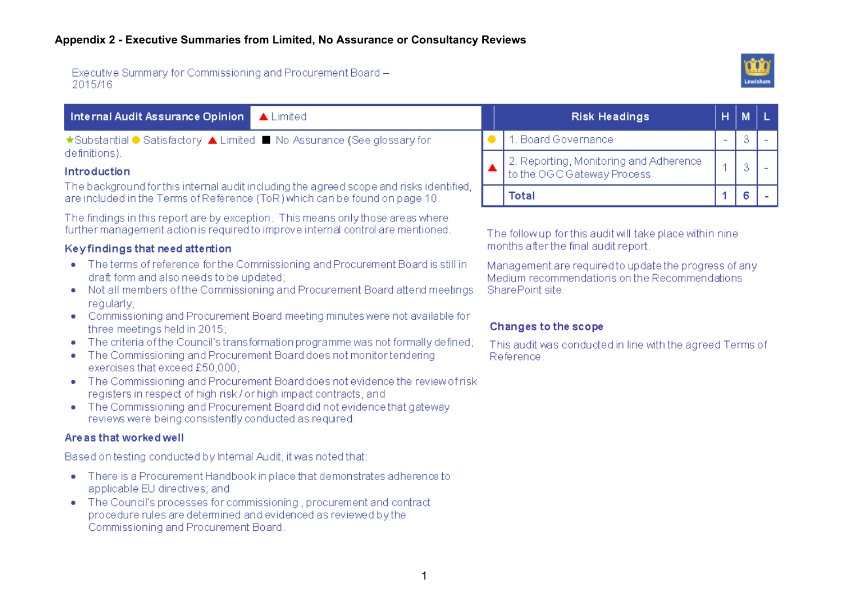Executive Summary for Commissioning and Procurement Board -2015/16



| <b>Internal Audit Assurance Opinion   ▲ Limited</b>                    |  | <b>Risk Headings</b>                     |
|------------------------------------------------------------------------|--|------------------------------------------|
| ★Substantial ● Satisfactory ▲ Limited ■ No Assurance (See glossary for |  | ●   1. Board Governance                  |
| definitions).                                                          |  | $\Box$ 2. Reporting, Monitoring and Adhe |

#### Introduction

The background for this internal audit including the agreed scope and risks identified. are included in the Terms of Reference (ToR) which can be found on page 10.

The findings in this report are by exception. This means only those areas where further management action is required to improve internal control are mentioned

#### Keyfindings that need attention

- The terms of reference for the Commissioning and Procurement Board is still in draft form and also needs to be updated;
- Not all members of the Commissioning and Procurement Board attend meetings requiariv:
- Commissioning and Procurement Board meeting minutes were not available for three meetings held in 2015:
- The criteria of the Council's transformation programme was not formally defined:
- The Commissioning and Procurement Board does not monitor tendering exercises that exceed £50,000;
- The Commissioning and Procurement Board does not evidence the review of risk registers in respect of high risk/or high impact contracts, and
- The Commissioning and Procurement Board did not evidence that gateway reviews were being consistently conducted as required.

#### Are as that worked well

Based on testing conducted by Internal Audit, it was noted that:

- There is a Procurement Handbook in place that demonstrates adherence to applicable EU directives; and
- The Council's processes for commissioning, procurement and contract procedure rules are determined and evidenced as reviewed by the Commissioning and Procurement Board.

| <b>Risk Headings</b>                                                 |  |  |
|----------------------------------------------------------------------|--|--|
| 1. Board Governance                                                  |  |  |
| 2. Reporting, Monitoring and Adherence<br>to the OGC Gateway Process |  |  |
| Total                                                                |  |  |

The follow up for this audit will take place within nine months after the final audit report.

Management are required to update the progress of any Medium recommendations on the Recommendations SharePoint site.

### Changes to the scope

This audit was conducted in line with the agreed Terms of Reference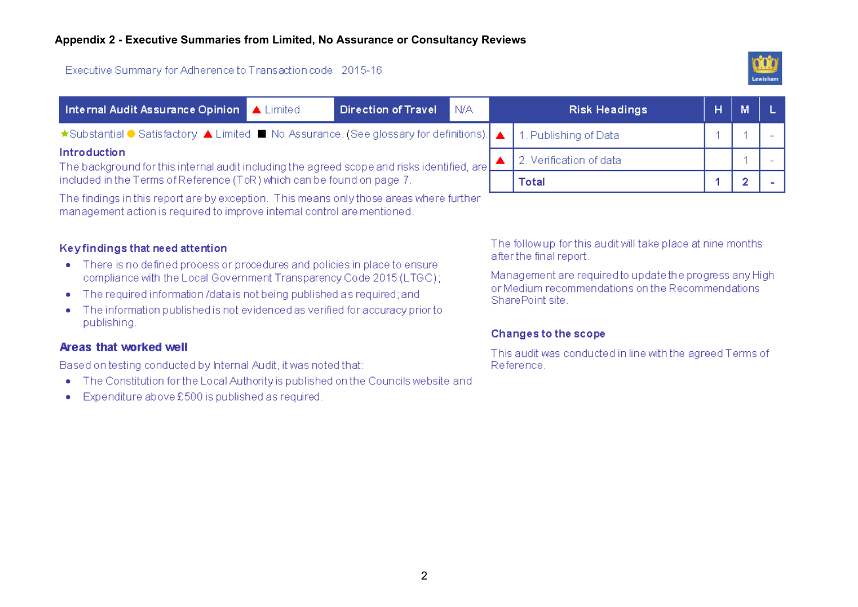### Executive Summary for Adherence to Transaction code 2015-16



|                                                                                                                                | Internal Audit Assurance Opinion   A Limited                                                                     |  | <b>Direction of Travel</b> | N/A | <b>Risk Headings</b>    | н |  |
|--------------------------------------------------------------------------------------------------------------------------------|------------------------------------------------------------------------------------------------------------------|--|----------------------------|-----|-------------------------|---|--|
|                                                                                                                                | ★Substantial ● Satisfactory ▲ Limited ■ No Assurance. (See glossary for definitions).  ▲   1. Publishing of Data |  |                            |     |                         |   |  |
| <b>Introduction</b><br>The background for this internal audit including the agreed scope and risks identified, are $\mathsf L$ |                                                                                                                  |  |                            |     | 2. Verification of data |   |  |
|                                                                                                                                | included in the Terms of Reference (ToR) which can be found on page 7.                                           |  |                            |     | Total                   |   |  |
|                                                                                                                                | The findings in this report are by exception. This means only those areas where further                          |  |                            |     |                         |   |  |

management action is required to improve internal control are mentioned.

### Keyfindings that need attention

- There is no defined process or procedures and policies in place to ensure compliance with the Local Government Transparency Code 2015 (LTGC);
- The required information /data is not being published as required; and
- The information published is not evidenced as verified for accuracy prior to publishing.

### Areas that worked well

Based on testing conducted by Internal Audit, it was noted that:

- The Constitution for the Local Authority is published on the Councils website and
- Expenditure above £500 is published as required.

The follow up for this audit will take place at nine months after the final report.

Management are required to update the progress any Highor Medium recommendations on the Recommendations SharePoint site.

### Changes to the scope

This audit was conducted in line with the agreed Terms of Reference.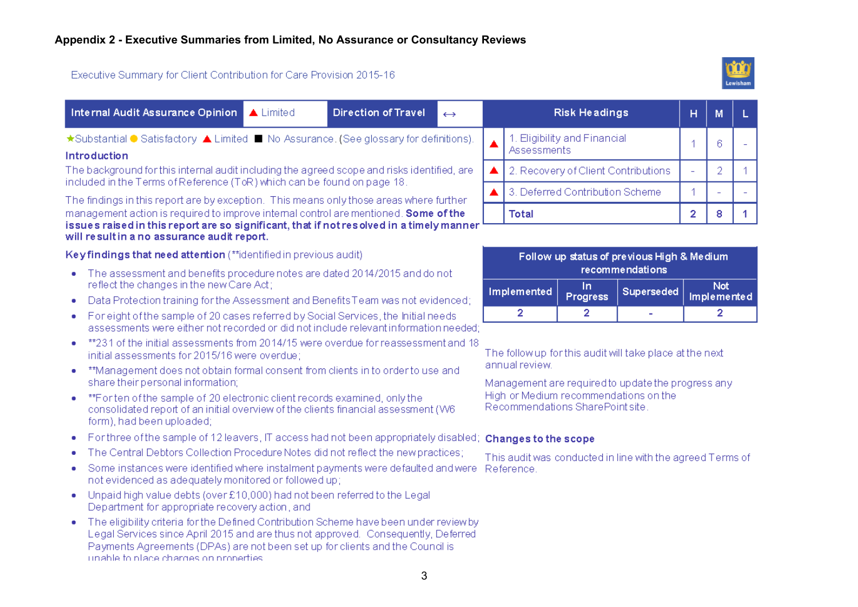## Executive Summary for Client Contribution for Care Provision 2015-16



| Internal Audit Assurance Opinion<br>$\triangle$ Limited                                                                                                                                                                                                                                                | <b>Direction of Travel</b> | $\leftrightarrow$ |                                                                      |                                     | <b>Risk Headings</b>             |                                                           | н  | M              | L              |  |
|--------------------------------------------------------------------------------------------------------------------------------------------------------------------------------------------------------------------------------------------------------------------------------------------------------|----------------------------|-------------------|----------------------------------------------------------------------|-------------------------------------|----------------------------------|-----------------------------------------------------------|----|----------------|----------------|--|
| ★Substantial ● Satisfactory ▲ Limited ■ No Assurance. (See glossary for definitions).<br><b>Introduction</b>                                                                                                                                                                                           |                            |                   |                                                                      | Assessments                         | 1. Eligibility and Financial     |                                                           | 1  | 6              | $\overline{a}$ |  |
| The background for this internal audit including the agreed scope and risks identified, are<br>included in the Terms of Reference (ToR) which can be found on page 18.                                                                                                                                 |                            |                   |                                                                      | 2. Recovery of Client Contributions |                                  |                                                           | ÷. | $\overline{2}$ | 1              |  |
| The findings in this report are by exception. This means only those areas where further                                                                                                                                                                                                                |                            |                   | 3. Deferred Contribution Scheme                                      |                                     | 1                                |                                                           |    |                |                |  |
| management action is required to improve internal control are mentioned. Some of the<br>issues raised in this report are so significant, that if not resolved in a timely manner<br>will result in a no assurance audit report.                                                                        |                            | <b>Total</b>      |                                                                      |                                     | 2                                | 8                                                         | 1. |                |                |  |
| Keyfindings that need attention (**identified in previous audit)                                                                                                                                                                                                                                       |                            |                   |                                                                      |                                     |                                  | Follow up status of previous High & Medium                |    |                |                |  |
| The assessment and benefits procedure notes are dated 2014/2015 and do not<br>۰<br>reflect the changes in the new Care Act;                                                                                                                                                                            |                            |                   | recommendations<br>$\ln$                                             |                                     |                                  |                                                           |    | <b>Not</b>     |                |  |
| Data Protection training for the Assessment and Benefits Team was not evidenced;<br>۰                                                                                                                                                                                                                  |                            |                   | Implemented<br>Superseded<br><b>Progress</b>                         |                                     |                                  |                                                           |    | Implemented    |                |  |
| For eight of the sample of 20 cases referred by Social Services, the Initial needs<br>۰<br>assessments were either not recorded or did not include relevant information needed:                                                                                                                        |                            |                   |                                                                      | 2                                   | $\overline{2}$                   | ÷                                                         |    | 2              |                |  |
| **231 of the initial assessments from 2014/15 were overdue for reassessment and 18<br>initial assessments for 2015/16 were overdue;                                                                                                                                                                    |                            |                   |                                                                      |                                     |                                  | The follow up for this audit will take place at the next  |    |                |                |  |
| **Management does not obtain formal consent from clients in to order to use and<br>۰<br>share their personal information;                                                                                                                                                                              |                            |                   | annual review.<br>Management are required to update the progress any |                                     |                                  |                                                           |    |                |                |  |
| **Forten of the sample of 20 electronic client records examined, only the<br>consolidated report of an initial overview of the clients financial assessment (W6<br>form), had been uploaded;                                                                                                           |                            |                   |                                                                      |                                     | Recommendations SharePoint site. | High or Medium recommendations on the                     |    |                |                |  |
| For three of the sample of 12 leavers. IT access had not been appropriately disabled;<br>۰                                                                                                                                                                                                             |                            |                   |                                                                      | <b>Changes to the scope</b>         |                                  |                                                           |    |                |                |  |
| The Central Debtors Collection Procedure Notes did not reflect the new practices;<br>۰                                                                                                                                                                                                                 |                            |                   |                                                                      |                                     |                                  | This audit was conducted in line with the agreed Terms of |    |                |                |  |
| Some instances were identified where instalment payments were defaulted and were<br>۰<br>not evidenced as adequately monitored or followed up;                                                                                                                                                         |                            |                   |                                                                      | Reference.                          |                                  |                                                           |    |                |                |  |
| Unpaid high value debts (over £10,000) had not been referred to the Legal<br>۰<br>Department for appropriate recovery action, and                                                                                                                                                                      |                            |                   |                                                                      |                                     |                                  |                                                           |    |                |                |  |
| The eligibility criteria for the Defined Contribution Scheme have been under review by<br>Legal Services since April 2015 and are thus not approved. Consequently, Deferred<br>Payments Agreements (DPAs) are not been set up for clients and the Council is<br>unable to place charges on properties. |                            |                   |                                                                      |                                     |                                  |                                                           |    |                |                |  |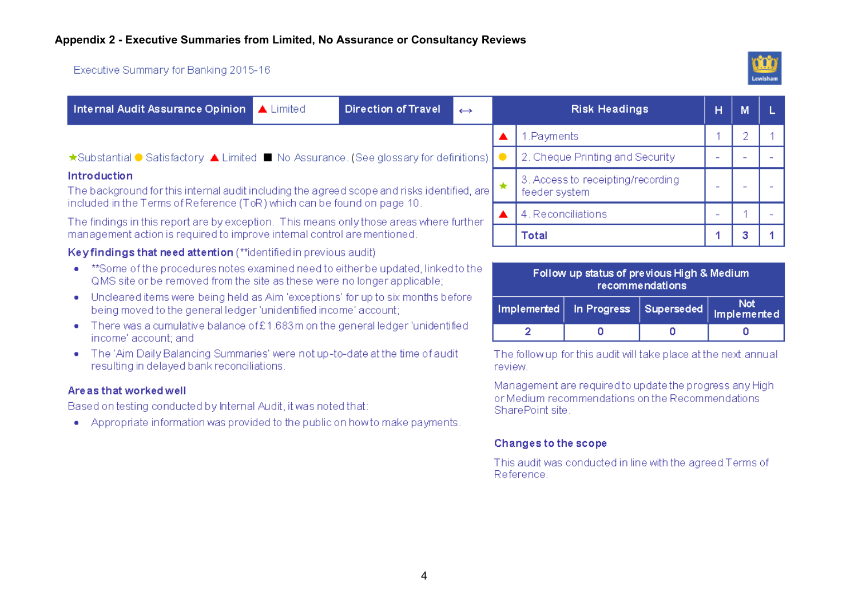### Executive Summary for Banking 2015-16



|                                                                                                                                                                                               | Internal Audit Assurance Opinion                                                                                                                             | $\triangle$ Limited | Direction of Travel | $\leftrightarrow$ |  | <b>Risk Headings</b>                                          | н                        |  |
|-----------------------------------------------------------------------------------------------------------------------------------------------------------------------------------------------|--------------------------------------------------------------------------------------------------------------------------------------------------------------|---------------------|---------------------|-------------------|--|---------------------------------------------------------------|--------------------------|--|
|                                                                                                                                                                                               |                                                                                                                                                              |                     |                     |                   |  | 1. Payments                                                   |                          |  |
|                                                                                                                                                                                               | ★Substantial ● Satisfactory ▲ Limited ■ No Assurance. (See glossary for definitions).                                                                        |                     |                     |                   |  | 2. Cheque Printing and Security                               |                          |  |
| <b>Introduction</b><br>The background for this internal audit including the agreed scope and risks identified, are<br>included in the Terms of Reference (ToR) which can be found on page 10. |                                                                                                                                                              |                     |                     |                   |  | 3. Access to receipting/recording<br>feeder system            | -                        |  |
|                                                                                                                                                                                               | The findings in this report are by exception. This means only those areas where further                                                                      |                     |                     |                   |  | 4. Reconciliations                                            | $\overline{\phantom{0}}$ |  |
|                                                                                                                                                                                               | management action is required to improve internal control are mentioned.                                                                                     |                     |                     |                   |  | <b>Total</b>                                                  |                          |  |
|                                                                                                                                                                                               | Keyfindings that need attention (**identified in previous audit)                                                                                             |                     |                     |                   |  |                                                               |                          |  |
| ۰                                                                                                                                                                                             | **Some of the procedures notes examined need to either be updated, linked to the<br>QMS site or be removed from the site as these were no longer applicable; |                     |                     |                   |  | Follow up status of previous High & Medium<br>recommendations |                          |  |

- Uncleared items were being held as Aim 'exceptions' for up to six months before being moved to the general ledger 'unidentified income' account;
- There was a cumulative balance of £1.683m on the general ledger 'unidentified income' account; and
- . The 'Aim Daily Balancing Summaries' were not up-to-date at the time of audit resulting in delayed bank reconciliations.

### Are as that worked well

Based on testing conducted by Internal Audit, it was noted that:

• Appropriate information was provided to the public on how to make payments.

| Follow up status of previous High & Medium<br>recommendations |                           |                            |                           |  |  |  |  |  |  |
|---------------------------------------------------------------|---------------------------|----------------------------|---------------------------|--|--|--|--|--|--|
|                                                               | Implemented   In Progress | $\vert$ Superseded $\vert$ | <b>Not</b><br>Implemented |  |  |  |  |  |  |
|                                                               |                           |                            |                           |  |  |  |  |  |  |
|                                                               |                           |                            |                           |  |  |  |  |  |  |

The follow up for this audit will take place at the next annual review.

Management are required to update the progress any Highor Medium recommendations on the Recommendations SharePoint site:

### Changes to the scope

This audit was conducted in line with the agreed Terms of Reference.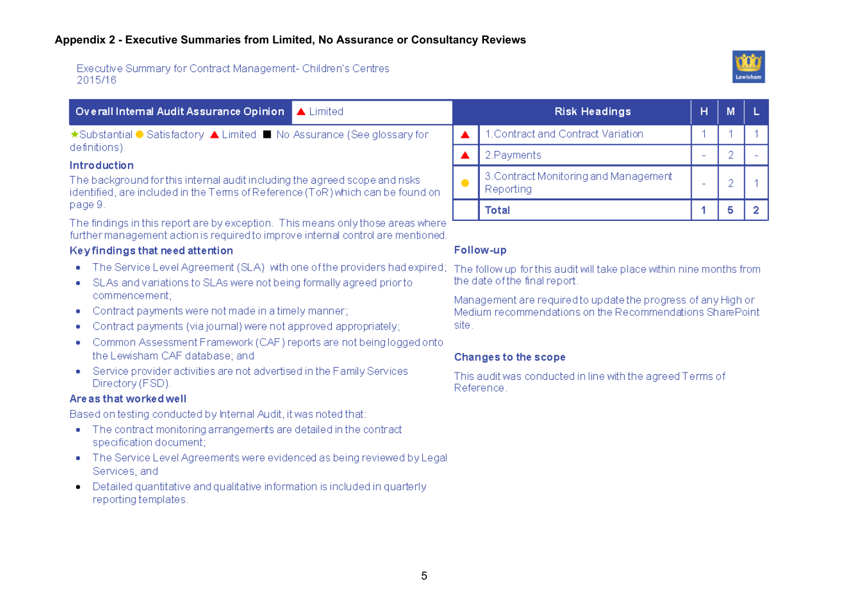Executive Summary for Contract Management- Children's Centres 2015/16



 $\overline{2}$ 

| Overall Internal Audit Assurance Opinion<br>$\triangle$ Limited                                                                                                                                        |                                                                                                                           | <b>Risk Headings</b>                                                                                  | н                        | M |  |  |
|--------------------------------------------------------------------------------------------------------------------------------------------------------------------------------------------------------|---------------------------------------------------------------------------------------------------------------------------|-------------------------------------------------------------------------------------------------------|--------------------------|---|--|--|
| ★Substantial ● Satisfactory ▲ Limited ■ No Assurance (See glossary for                                                                                                                                 |                                                                                                                           | I.Contract and Contract Variation                                                                     |                          |   |  |  |
| definitions).                                                                                                                                                                                          |                                                                                                                           | 2. Payments                                                                                           |                          |   |  |  |
| <b>Introduction</b><br>The background for this internal audit including the agreed scope and risks<br>identified, are included in the Terms of Reference (ToR) which can be found on                   | $\bullet$                                                                                                                 | 3. Contract Monitoring and Management<br>Reporting                                                    | $\overline{\phantom{a}}$ |   |  |  |
| page 9.                                                                                                                                                                                                |                                                                                                                           | <b>Total</b>                                                                                          |                          | 5 |  |  |
| The findings in this report are by exception. This means only those areas where<br>further management action is required to improve internal control are mentioned.<br>Keyfindings that need attention |                                                                                                                           | Follow-up                                                                                             |                          |   |  |  |
| The Service Level Agreement (SLA) with one of the providers had expired;<br>۰<br>SLAs and variations to SLAs were not being formally agreed prior to<br>$\bullet$                                      |                                                                                                                           | The follow up for this audit will take place within nine months from<br>the date of the final report. |                          |   |  |  |
| commencement;<br>Contract payments were not made in a timely manner;<br>$\bullet$                                                                                                                      | Management are required to update the progress of any High or<br>Medium recommendations on the Recommendations SharePoint |                                                                                                       |                          |   |  |  |

- Contract payments were not made in a timely manner;  $\bullet$
- Contract payments (via journal) were not approved appropriately; ۰
- Common Assessment Framework (CAF) reports are not being logged onto the Lewisham CAF database; and
- Service provider activities are not advertised in the Family Services Directory (FSD).

### Are as that worked well

Based on testing conducted by Internal Audit, it was noted that:

- The contract monitoring arrangements are detailed in the contract specification document;
- The Service Level Agreements were evidenced as being reviewed by Legal Services, and
- Detailed quantitative and qualitative information is included in quarterly reporting templates.

# **Changes to the scope**

site.

This audit was conducted in line with the agreed Terms of Reference.

5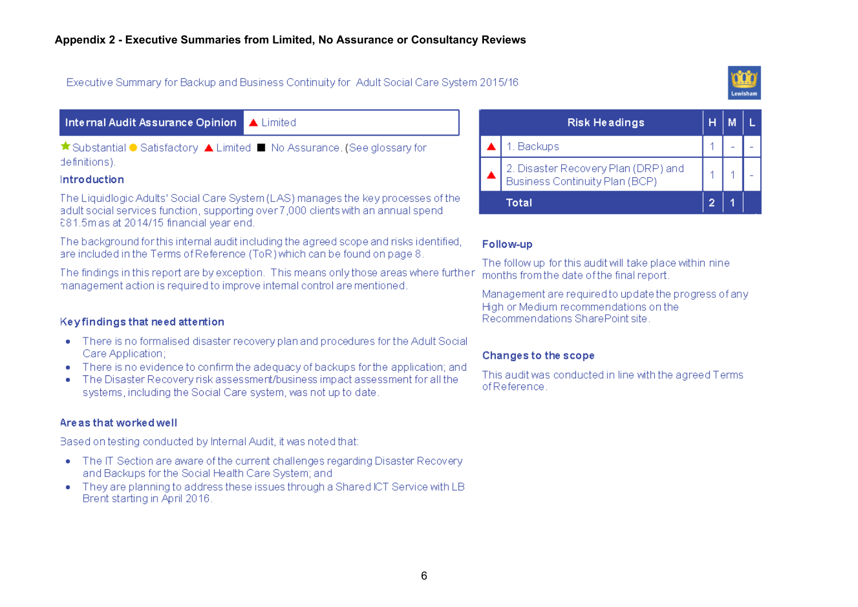Executive Summary for Backup and Business Continuity for Adult Social Care System 2015/16



### Internal Audit Assurance Opinion A Limited

★ Substantial ● Satisfactory ▲ Limited ■ No Assurance. (See glossary for definitions).

#### Introduction

The Liquidlogic Adults' Social Care System (LAS) manages the key processes of the adult social services function, supporting over 7,000 clients with an annual spend £81.5m as at 2014/15 financial vear end.

The background for this internal audit including the agreed scope and risks identified. are included in the Terms of Reference (ToR) which can be found on page 8

The findings in this report are by exception. This means only those areas where further management action is required to improve internal control are mentioned.

### Keyfindings that need attention

- There is no formalised disaster recovery plan and procedures for the Adult Social Care Application;
- There is no evidence to confirm the adequacy of backups for the application: and
- The Disaster Recovery risk assessment/business impact assessment for all the ٠ systems, including the Social Care system, was not up to date

### Are as that worked well

Based on testing conducted by Internal Audit, it was noted that:

- The IT Section are aware of the current challenges regarding Disaster Recovery and Backups for the Social Health Care System; and
- They are planning to address these issues through a Shared ICT Service with LB Brent starting in April 2016.

| <b>Risk Headings</b>                                                  |  |  |
|-----------------------------------------------------------------------|--|--|
| 1. Backups                                                            |  |  |
| 2. Disaster Recovery Plan (DRP) and<br>Business Continuity Plan (BCP) |  |  |
| Total                                                                 |  |  |

#### Follow-up

The follow up for this audit will take place within nine months from the date of the final report.

Management are required to update the progress of any High or Medium recommendations on the Recommendations SharePoint site

### Changes to the scope

This audit was conducted in line with the agreed Terms of Reference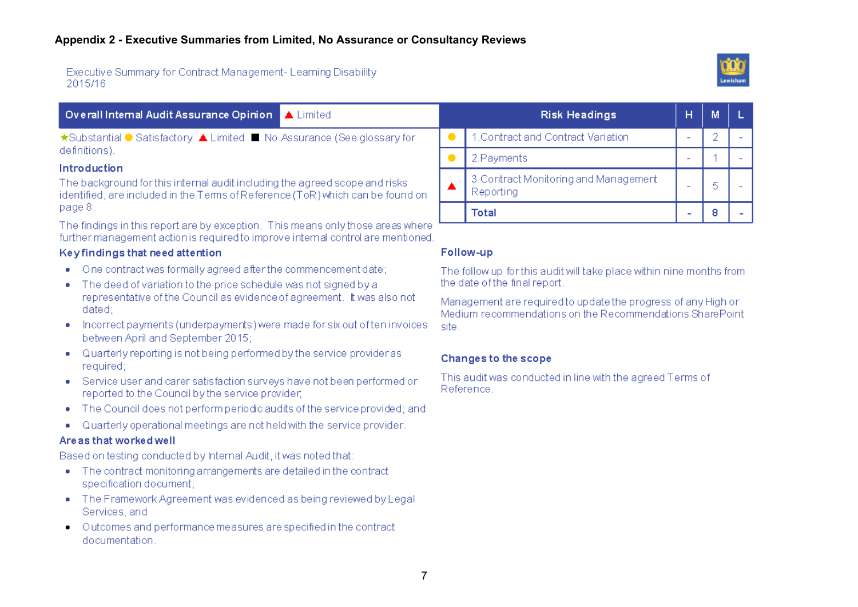#### Executive Summary for Contract Management-Learning Disability 2015/16



#### Overall Internal Audit Assurance Opinion  $\triangle$  1 imited ★Substantial ● Satisfactory ▲ Limited ■ No Assurance (See glossary for definitions).

Introduction

The background for this internal audit including the agreed scope and risks identified, are included in the Terms of Reference (ToR) which can be found on page 8.

The findings in this report are by exception. This means only those areas where further management action is required to improve internal control are mentioned.

### Keyfindings that need attention

- One contract was formally agreed after the commencement date:
- The deed of variation to the price schedule was not signed by a representative of the Council as evidence of agreement. It was also not dated:
- Incorrect payments (underpayments) were made for six out often invoices  $\bullet$ between April and September 2015:
- Quarterly reporting is not being performed by the service provider as required;
- Service user and carer satisfaction surveys have not been performed or reported to the Council by the service provider.
- The Council does not perform periodic audits of the service provided; and
- Quarterly operational meetings are not held with the service provider. ۰

### Are as that worked well

Based on testing conducted by Internal Audit, it was noted that:

- The contract monitoring arrangements are detailed in the contract specification document;
- The Framework Agreement was evidenced as being reviewed by Legal Services, and
- Outcomes and performance measures are specified in the contract  $\bullet$ documentation.

| <b>Risk Headings</b>                               | н | м |  |
|----------------------------------------------------|---|---|--|
| 1. Contract and Contract Variation                 |   |   |  |
| 2.Payments                                         |   |   |  |
| 3. Contract Monitoring and Management<br>Reporting |   |   |  |
| Total                                              |   |   |  |

#### Follow-up

The follow up for this audit will take place within nine months from the date of the final report.

Management are required to update the progress of any High or Medium recommendations on the Recommendations SharePoint site.

### Changes to the scope

This audit was conducted in line with the agreed Terms of Reference.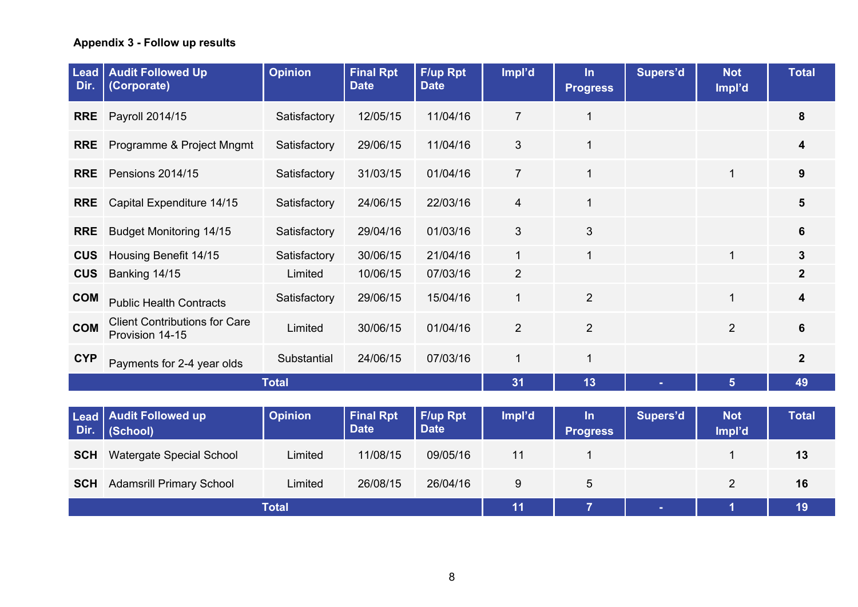# **Appendix 3 - Follow up results**

| <b>Lead</b><br>Dir. | <b>Audit Followed Up</b><br>(Corporate)                 | <b>Opinion</b> | <b>Final Rpt</b><br><b>Date</b> | F/up Rpt<br><b>Date</b> | Impl'd         | $\ln$<br><b>Progress</b> | Supers'd | <b>Not</b><br>Impl'd | <b>Total</b>   |
|---------------------|---------------------------------------------------------|----------------|---------------------------------|-------------------------|----------------|--------------------------|----------|----------------------|----------------|
| <b>RRE</b>          | Payroll 2014/15                                         | Satisfactory   | 12/05/15                        | 11/04/16                | $\overline{7}$ | 1                        |          |                      | 8              |
| <b>RRE</b>          | Programme & Project Mngmt                               | Satisfactory   | 29/06/15                        | 11/04/16                | 3              | $\mathbf{1}$             |          |                      | 4              |
| <b>RRE</b>          | <b>Pensions 2014/15</b>                                 | Satisfactory   | 31/03/15                        | 01/04/16                | $\overline{7}$ | $\mathbf 1$              |          | 1                    | 9              |
| <b>RRE</b>          | Capital Expenditure 14/15                               | Satisfactory   | 24/06/15                        | 22/03/16                | 4              | $\mathbf{1}$             |          |                      | $5\phantom{1}$ |
| <b>RRE</b>          | <b>Budget Monitoring 14/15</b>                          | Satisfactory   | 29/04/16                        | 01/03/16                | 3              | 3                        |          |                      | 6              |
| <b>CUS</b>          | Housing Benefit 14/15                                   | Satisfactory   | 30/06/15                        | 21/04/16                | $\mathbf 1$    | 1                        |          |                      | $\mathbf{3}$   |
| <b>CUS</b>          | Banking 14/15                                           | Limited        | 10/06/15                        | 07/03/16                | $\overline{2}$ |                          |          |                      | $\mathbf{2}$   |
| <b>COM</b>          | <b>Public Health Contracts</b>                          | Satisfactory   | 29/06/15                        | 15/04/16                | $\mathbf 1$    | $\overline{2}$           |          | 1                    | 4              |
| <b>COM</b>          | <b>Client Contributions for Care</b><br>Provision 14-15 | Limited        | 30/06/15                        | 01/04/16                | $\overline{2}$ | $\overline{2}$           |          | $\overline{2}$       | 6              |
| <b>CYP</b>          | Payments for 2-4 year olds                              | Substantial    | 24/06/15                        | 07/03/16                | 1              | 1                        |          |                      | 2 <sup>2</sup> |
|                     |                                                         | <b>Total</b>   |                                 |                         | 31             | 13                       |          | 5                    | 49             |
|                     |                                                         |                |                                 |                         |                |                          |          |                      |                |
| Lead<br>Dir.        | <b>Audit Followed up</b><br>(School)                    | <b>Opinion</b> | <b>Final Rpt</b><br><b>Date</b> | F/up Rpt<br><b>Date</b> | Impl'd         | $\ln$<br><b>Progress</b> | Supers'd | <b>Not</b><br>Impl'd | <b>Total</b>   |
| <b>SCH</b>          | <b>Watergate Special School</b>                         | Limited        | 11/08/15                        | 09/05/16                | 11             |                          |          |                      | 13             |

**Total 11 7 - 1 19**

**SCH** Adamsrill Primary School Limited 26/08/15 26/04/16 9 5 2 16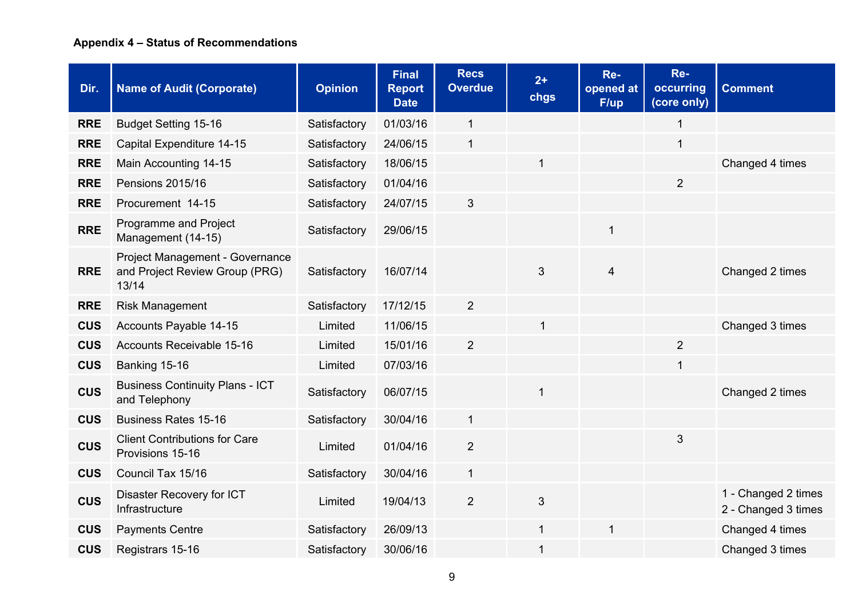# **Appendix 4 – Status of Recommendations**

| Dir.       | <b>Name of Audit (Corporate)</b>                                           | <b>Opinion</b> | <b>Final</b><br><b>Report</b><br><b>Date</b> | <b>Recs</b><br><b>Overdue</b> | $2+$<br>chgs | Re-<br>opened at<br>F/up | Re-<br>occurring<br>(core only) | <b>Comment</b>                             |
|------------|----------------------------------------------------------------------------|----------------|----------------------------------------------|-------------------------------|--------------|--------------------------|---------------------------------|--------------------------------------------|
| <b>RRE</b> | <b>Budget Setting 15-16</b>                                                | Satisfactory   | 01/03/16                                     | $\mathbf{1}$                  |              |                          | $\mathbf 1$                     |                                            |
| <b>RRE</b> | Capital Expenditure 14-15                                                  | Satisfactory   | 24/06/15                                     | $\mathbf{1}$                  |              |                          | $\mathbf{1}$                    |                                            |
| <b>RRE</b> | Main Accounting 14-15                                                      | Satisfactory   | 18/06/15                                     |                               | 1            |                          |                                 | Changed 4 times                            |
| <b>RRE</b> | Pensions 2015/16                                                           | Satisfactory   | 01/04/16                                     |                               |              |                          | $\overline{2}$                  |                                            |
| <b>RRE</b> | Procurement 14-15                                                          | Satisfactory   | 24/07/15                                     | $\sqrt{3}$                    |              |                          |                                 |                                            |
| <b>RRE</b> | Programme and Project<br>Management (14-15)                                | Satisfactory   | 29/06/15                                     |                               |              |                          |                                 |                                            |
| <b>RRE</b> | Project Management - Governance<br>and Project Review Group (PRG)<br>13/14 | Satisfactory   | 16/07/14                                     |                               | 3            | $\overline{\mathbf{4}}$  |                                 | Changed 2 times                            |
| <b>RRE</b> | <b>Risk Management</b>                                                     | Satisfactory   | 17/12/15                                     | $\overline{2}$                |              |                          |                                 |                                            |
| <b>CUS</b> | Accounts Payable 14-15                                                     | Limited        | 11/06/15                                     |                               | $\mathbf{1}$ |                          |                                 | Changed 3 times                            |
| <b>CUS</b> | Accounts Receivable 15-16                                                  | Limited        | 15/01/16                                     | $\overline{2}$                |              |                          | $\overline{2}$                  |                                            |
| <b>CUS</b> | Banking 15-16                                                              | Limited        | 07/03/16                                     |                               |              |                          | $\mathbf{1}$                    |                                            |
| <b>CUS</b> | <b>Business Continuity Plans - ICT</b><br>and Telephony                    | Satisfactory   | 06/07/15                                     |                               | $\mathbf{1}$ |                          |                                 | Changed 2 times                            |
| <b>CUS</b> | <b>Business Rates 15-16</b>                                                | Satisfactory   | 30/04/16                                     | $\mathbf{1}$                  |              |                          |                                 |                                            |
| <b>CUS</b> | <b>Client Contributions for Care</b><br>Provisions 15-16                   | Limited        | 01/04/16                                     | $\overline{2}$                |              |                          | 3                               |                                            |
| <b>CUS</b> | Council Tax 15/16                                                          | Satisfactory   | 30/04/16                                     | $\mathbf{1}$                  |              |                          |                                 |                                            |
| <b>CUS</b> | Disaster Recovery for ICT<br>Infrastructure                                | Limited        | 19/04/13                                     | $\overline{2}$                | 3            |                          |                                 | 1 - Changed 2 times<br>2 - Changed 3 times |
| <b>CUS</b> | <b>Payments Centre</b>                                                     | Satisfactory   | 26/09/13                                     |                               | $\mathbf{1}$ | 1                        |                                 | Changed 4 times                            |
| <b>CUS</b> | Registrars 15-16                                                           | Satisfactory   | 30/06/16                                     |                               | 1            |                          |                                 | Changed 3 times                            |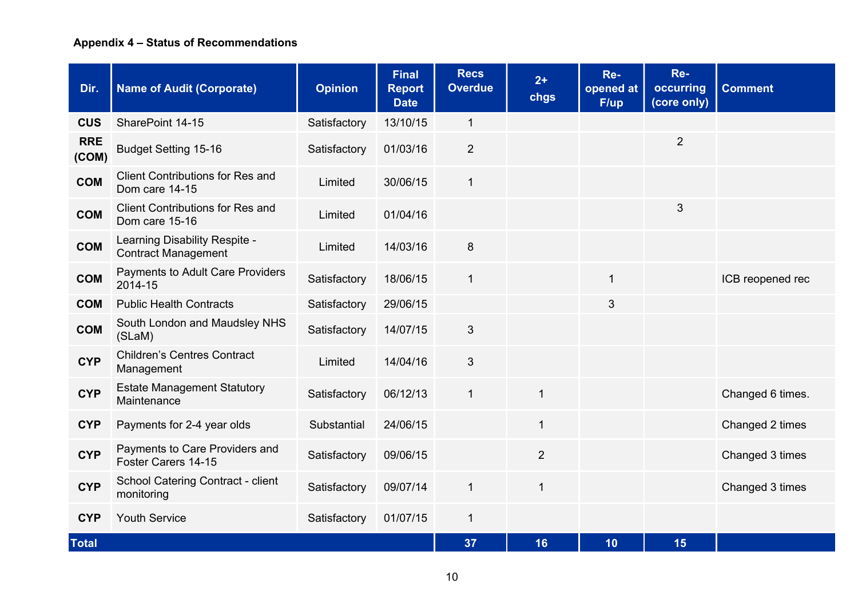# **Appendix 4 – Status of Recommendations**

| Dir.                | <b>Name of Audit (Corporate)</b>                            | <b>Opinion</b> | <b>Final</b><br><b>Report</b><br><b>Date</b> | <b>Recs</b><br><b>Overdue</b> | $2+$<br>chgs   | Re-<br>opened at<br>F/up | Re-<br>occurring<br>(core only) | <b>Comment</b>   |
|---------------------|-------------------------------------------------------------|----------------|----------------------------------------------|-------------------------------|----------------|--------------------------|---------------------------------|------------------|
| <b>CUS</b>          | SharePoint 14-15                                            | Satisfactory   | 13/10/15                                     | $\mathbf{1}$                  |                |                          |                                 |                  |
| <b>RRE</b><br>(COM) | <b>Budget Setting 15-16</b>                                 | Satisfactory   | 01/03/16                                     | $\overline{2}$                |                |                          | $\overline{2}$                  |                  |
| <b>COM</b>          | <b>Client Contributions for Res and</b><br>Dom care 14-15   | Limited        | 30/06/15                                     | $\mathbf{1}$                  |                |                          |                                 |                  |
| <b>COM</b>          | <b>Client Contributions for Res and</b><br>Dom care 15-16   | Limited        | 01/04/16                                     |                               |                |                          | 3                               |                  |
| <b>COM</b>          | Learning Disability Respite -<br><b>Contract Management</b> | Limited        | 14/03/16                                     | 8                             |                |                          |                                 |                  |
| <b>COM</b>          | Payments to Adult Care Providers<br>2014-15                 | Satisfactory   | 18/06/15                                     | $\mathbf{1}$                  |                | $\mathbf{1}$             |                                 | ICB reopened rec |
| <b>COM</b>          | <b>Public Health Contracts</b>                              | Satisfactory   | 29/06/15                                     |                               |                | 3                        |                                 |                  |
| <b>COM</b>          | South London and Maudsley NHS<br>(SLaM)                     | Satisfactory   | 14/07/15                                     | $\mathfrak{S}$                |                |                          |                                 |                  |
| <b>CYP</b>          | <b>Children's Centres Contract</b><br>Management            | Limited        | 14/04/16                                     | $\mathfrak{S}$                |                |                          |                                 |                  |
| <b>CYP</b>          | <b>Estate Management Statutory</b><br>Maintenance           | Satisfactory   | 06/12/13                                     | $\mathbf{1}$                  | $\mathbf{1}$   |                          |                                 | Changed 6 times. |
| <b>CYP</b>          | Payments for 2-4 year olds                                  | Substantial    | 24/06/15                                     |                               | $\mathbf{1}$   |                          |                                 | Changed 2 times  |
| <b>CYP</b>          | Payments to Care Providers and<br>Foster Carers 14-15       | Satisfactory   | 09/06/15                                     |                               | $\overline{2}$ |                          |                                 | Changed 3 times  |
| <b>CYP</b>          | School Catering Contract - client<br>monitoring             | Satisfactory   | 09/07/14                                     | $\mathbf{1}$                  | $\mathbf{1}$   |                          |                                 | Changed 3 times  |
| <b>CYP</b>          | <b>Youth Service</b>                                        | Satisfactory   | 01/07/15                                     | $\mathbf{1}$                  |                |                          |                                 |                  |
| <b>Total</b>        |                                                             |                |                                              | 37                            | 16             | 10                       | 15                              |                  |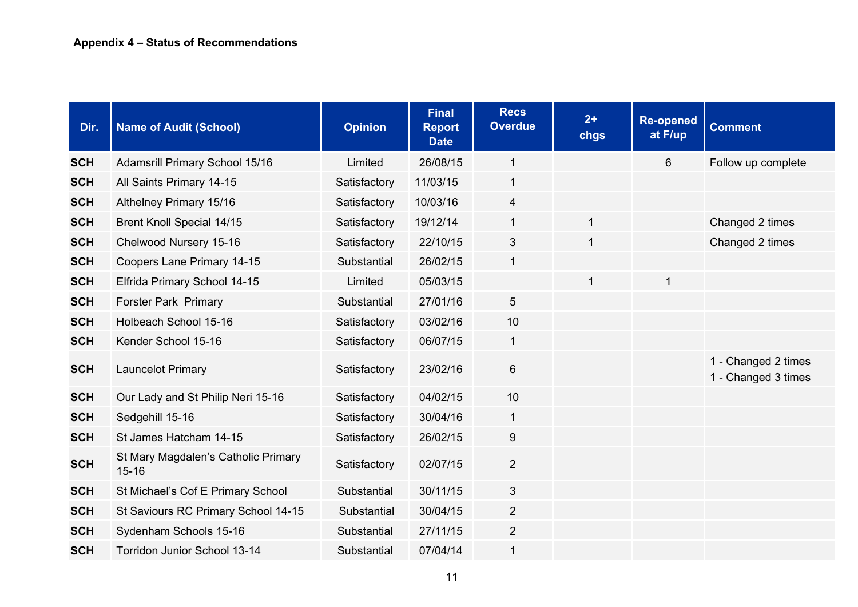| Dir.       | <b>Name of Audit (School)</b>                    | <b>Opinion</b> | <b>Final</b><br><b>Report</b><br><b>Date</b> | <b>Recs</b><br><b>Overdue</b> | $2+$<br>chgs | <b>Re-opened</b><br>at F/up | <b>Comment</b>                             |
|------------|--------------------------------------------------|----------------|----------------------------------------------|-------------------------------|--------------|-----------------------------|--------------------------------------------|
| <b>SCH</b> | Adamsrill Primary School 15/16                   | Limited        | 26/08/15                                     | 1                             |              | 6                           | Follow up complete                         |
| <b>SCH</b> | All Saints Primary 14-15                         | Satisfactory   | 11/03/15                                     | 1                             |              |                             |                                            |
| <b>SCH</b> | Althelney Primary 15/16                          | Satisfactory   | 10/03/16                                     | $\overline{4}$                |              |                             |                                            |
| <b>SCH</b> | <b>Brent Knoll Special 14/15</b>                 | Satisfactory   | 19/12/14                                     | $\mathbf 1$                   | 1            |                             | Changed 2 times                            |
| <b>SCH</b> | Chelwood Nursery 15-16                           | Satisfactory   | 22/10/15                                     | 3                             | 1            |                             | Changed 2 times                            |
| <b>SCH</b> | Coopers Lane Primary 14-15                       | Substantial    | 26/02/15                                     | $\mathbf 1$                   |              |                             |                                            |
| <b>SCH</b> | Elfrida Primary School 14-15                     | Limited        | 05/03/15                                     |                               | 1            | $\mathbf{1}$                |                                            |
| <b>SCH</b> | <b>Forster Park Primary</b>                      | Substantial    | 27/01/16                                     | 5                             |              |                             |                                            |
| <b>SCH</b> | Holbeach School 15-16                            | Satisfactory   | 03/02/16                                     | 10                            |              |                             |                                            |
| <b>SCH</b> | Kender School 15-16                              | Satisfactory   | 06/07/15                                     | $\mathbf 1$                   |              |                             |                                            |
| <b>SCH</b> | <b>Launcelot Primary</b>                         | Satisfactory   | 23/02/16                                     | 6                             |              |                             | 1 - Changed 2 times<br>1 - Changed 3 times |
| <b>SCH</b> | Our Lady and St Philip Neri 15-16                | Satisfactory   | 04/02/15                                     | 10                            |              |                             |                                            |
| <b>SCH</b> | Sedgehill 15-16                                  | Satisfactory   | 30/04/16                                     | $\mathbf{1}$                  |              |                             |                                            |
| <b>SCH</b> | St James Hatcham 14-15                           | Satisfactory   | 26/02/15                                     | 9                             |              |                             |                                            |
| <b>SCH</b> | St Mary Magdalen's Catholic Primary<br>$15 - 16$ | Satisfactory   | 02/07/15                                     | $\overline{2}$                |              |                             |                                            |
| <b>SCH</b> | St Michael's Cof E Primary School                | Substantial    | 30/11/15                                     | 3                             |              |                             |                                            |
| <b>SCH</b> | St Saviours RC Primary School 14-15              | Substantial    | 30/04/15                                     | $\overline{2}$                |              |                             |                                            |
| <b>SCH</b> | Sydenham Schools 15-16                           | Substantial    | 27/11/15                                     | $\overline{2}$                |              |                             |                                            |
| <b>SCH</b> | Torridon Junior School 13-14                     | Substantial    | 07/04/14                                     | 1                             |              |                             |                                            |